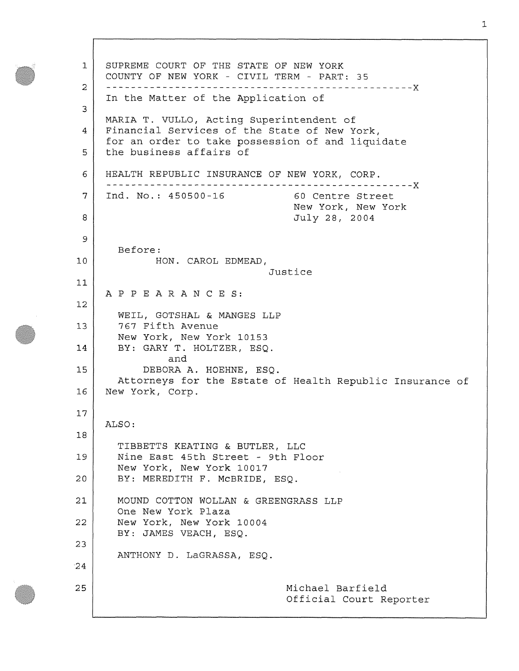1 **2**  3 4 5 6 7 **8**  9 **10**  11 **12**  13 14 15 **16**  17 **18**  19 **20 21 22**  23 24 25 SUPREME COURT OF THE STATE OF NEW YORK COUNTY OF NEW YORK - CIVIL TERM - PART: 35 x In the Matter of the Application of MARIA T. VULLO, Acting Superintendent of Financial Services of the State of New York, for an order to take possession of and liquidate the business affairs of HEALTH REPUBLIC INSURANCE OF NEW YORK, CORP. x Ind. No.: 450500-16 60 Centre Street New York, New York July 28, 2004 Before: HON. CAROL EDMEAD, Justice APPEARANCES: WEIL, GOTSHAL & MANGES LLP 767 Fifth Avenue New York, New York 10153 BY: GARY T. HOLTZER, ESQ. and DEBORA A. HOEHNE, ESQ. Attorneys for the Estate of Health Republic Insurance of New York, Corp. ALSO: TIBBETTS KEATING & BUTLER, LLC Nine East 45th Street - 9th Floor New York, New York 10017 BY: MEREDITH F. McBRIDE, ESQ. MOUND COTTON WOLLAN & GREENGRASS LLP One New York Plaza New York, New York 10004 BY: JAMES VEACH, ESQ. ANTHONY D. LaGRASSA, ESQ. Michael Barfield Official Court Reporter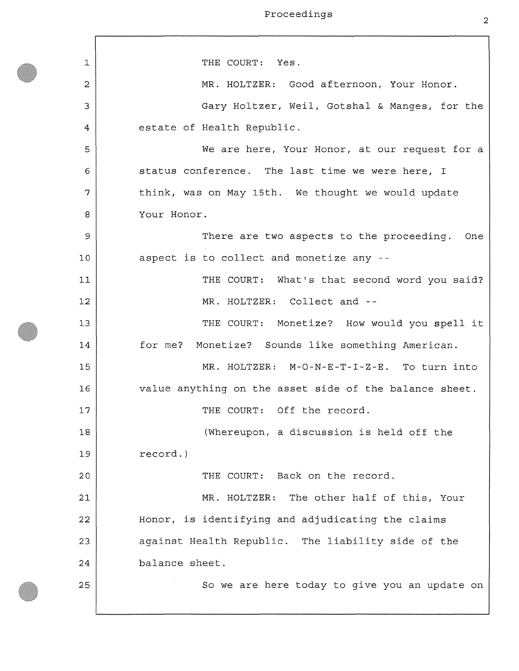1 **2**  3 4 5 6 7 **8**  9 10 11 **12**  13 14 15 **16**  17 **18**  19 **20 21 22**  23 24 25 THE COURT: Yes. MR. HOLTZER: Good afternoon, Your Honor. Gary Holtzer, Weil, Gotshal & Manges, for the estate of Health Republic. We are here, Your Honor, at our request for a status conference. The last time we were here, I think, was on May 15th. We thought we would update Your Honor. There are two aspects to the proceeding. One aspect is to collect and monetize any - THE COURT: What's that second word you said? MR. HOLTZER: Collect and --THE COURT: Monetize? How would you spell it for me? Monetize? Sounds like something American. MR. HOLTZER: **M-O-N**-E-T-I**- Z**-E. To turn into value anything on the asset side of the balance sheet. THE COURT: Off the record. (Whereupon, a discussion is held off the record.) THE COURT: Back on the record. MR. HOLTZER: The other half of this, Your Honor, is identifying and adjudicating the claims against Health Republic. The liability side of the balance sheet. So we are here today to give you an update on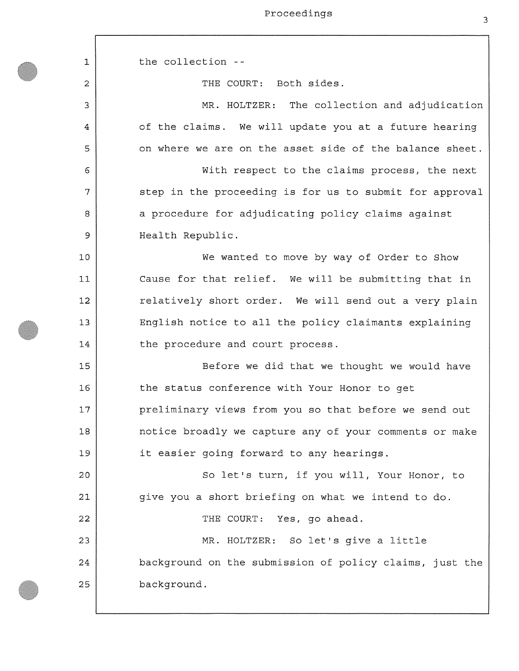1 **2**  3 4 5 6 7 **8**  9 **10**  11 **12**  13 14 15 **16**  17 **18**  19 **20 21 22**  23 24 25 the collection - THE COURT: Both sides. MR. HOLTZER: The collection and adjudication of the claims. We will update you at a future hearing on where we are on the asset side of the balance sheet. With respect to the claims process, the next step in the proceeding is for us to submit for approval a procedure for adjudicating policy claims against Health Republic. We wanted to move by way of Order to Show Cause for that relief. We will be submitting that in relatively short order. We will send out a very plain English notice to all the policy claimants explaining the procedure and court process. Before we did that we thought we would have the status conference with Your Honor to get preliminary views from you so that before we send out notice broadly we capture any of your comments or make it easier going forward to any hearings. So let's turn, if you will, Your Honor, to give you a short briefing on what we intend to do. THE COURT: Yes, go ahead. MR. HOLTZER: So let's give a little background on the submission of policy claims, just the background.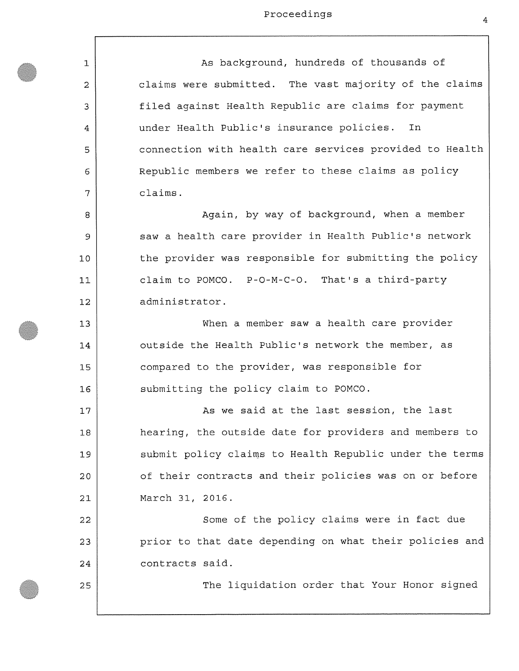| 1              | As background, hundreds of thousands of                 |
|----------------|---------------------------------------------------------|
| $\overline{c}$ | claims were submitted. The vast majority of the claims  |
| 3              | filed against Health Republic are claims for payment    |
| 4              | under Health Public's insurance policies.<br>In         |
| 5              | connection with health care services provided to Health |
| 6              | Republic members we refer to these claims as policy     |
| 7              | claims.                                                 |
| 8              | Again, by way of background, when a member              |
| 9              | saw a health care provider in Health Public's network   |
| 10             | the provider was responsible for submitting the policy  |
| 11             | claim to POMCO. P-O-M-C-O. That's a third-party         |
| 12             | administrator.                                          |
| 13             | When a member saw a health care provider                |
| 14             | outside the Health Public's network the member, as      |
| 15             | compared to the provider, was responsible for           |
| 16             | submitting the policy claim to POMCO.                   |
| 17             | As we said at the last session, the last                |
| 18             | hearing, the outside date for providers and members to  |
| 19             | submit policy claims to Health Republic under the terms |
| 20             | of their contracts and their policies was on or before  |
| 21             | March 31, 2016.                                         |
| 22             | Some of the policy claims were in fact due              |
| 23             | prior to that date depending on what their policies and |
| 24             | contracts said.                                         |
| 25             | The liquidation order that Your Honor signed            |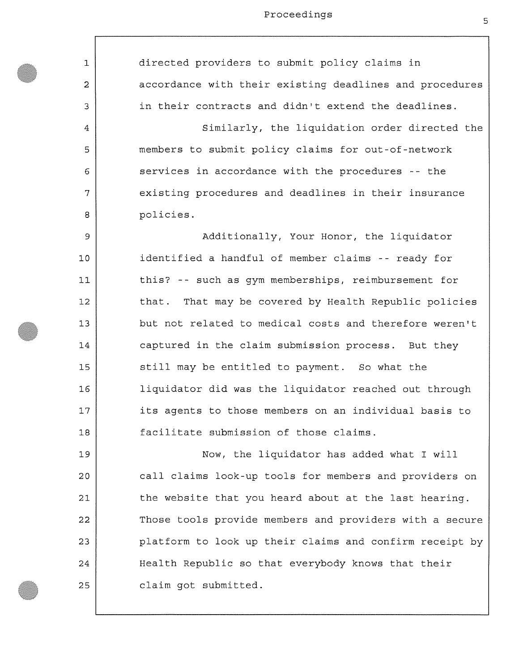1 **2**  3 4 5 6 7 **8**  9 **10 11 12**  13 14 15 **16**  17 **18**  19 **20 21 22**  23 24 25 directed providers to submit policy claims in accordance with their existing deadlines and procedures in their contracts and didn't extend the deadlines. Similarly, the liquidation order directed the members to submit policy claims for out-of-network services in accordance with the procedures -- the existing procedures and deadlines in their insurance policies. Additionally, Your Honor, the liquidator identified a handful of member claims -- ready for this? -- such as gym memberships, reimbursement for that. That may be covered by Health Republic policies but not related to medical costs and therefore weren't captured in the claim submission process. But they still may be entitled to payment. So what the liquidator did was the liquidator reached out through its agents to those members on an individual basis to facilitate submission of those claims. Now, the liquidator has added what I will call claims look-up tools for members and providers on the website that you heard about at the last hearing. Those tools provide members and providers with a secure platform to look up their claims and confirm receipt by Health Republic so that everybody knows that their claim got submitted.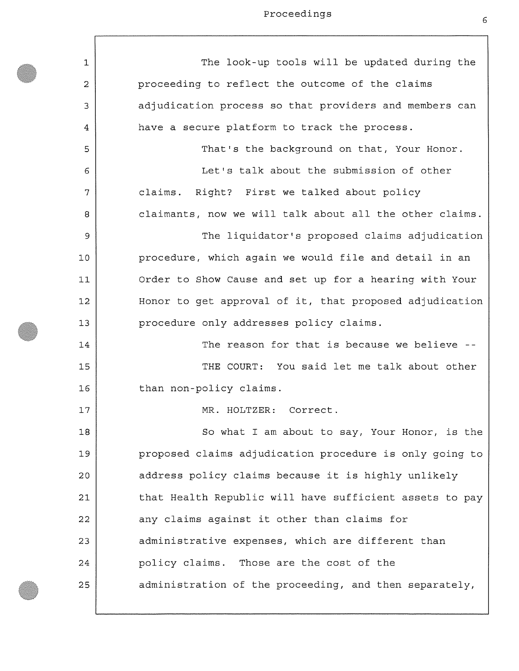$\overline{1}$ 

| $\mathbf 1$ | The look-up tools will be updated during the            |
|-------------|---------------------------------------------------------|
| 2           | proceeding to reflect the outcome of the claims         |
| 3           | adjudication process so that providers and members can  |
| 4           | have a secure platform to track the process.            |
| 5           | That's the background on that, Your Honor.              |
| 6           | Let's talk about the submission of other                |
| 7           | claims. Right? First we talked about policy             |
| 8           | claimants, now we will talk about all the other claims. |
| 9           | The liquidator's proposed claims adjudication           |
| 10          | procedure, which again we would file and detail in an   |
| 11          | Order to Show Cause and set up for a hearing with Your  |
| 12          | Honor to get approval of it, that proposed adjudication |
| 13          | procedure only addresses policy claims.                 |
| 14          | The reason for that is because we believe --            |
| 15          | THE COURT: You said let me talk about other             |
| 16          | than non-policy claims.                                 |
| 17          | MR. HOLTZER: Correct.                                   |
| 18          | So what I am about to say, Your Honor, is the           |
| 19          | proposed claims adjudication procedure is only going to |
| 20          | address policy claims because it is highly unlikely     |
| 21          | that Health Republic will have sufficient assets to pay |
| 22          | any claims against it other than claims for             |
| 23          | administrative expenses, which are different than       |
| 24          | policy claims. Those are the cost of the                |
| 25          | administration of the proceeding, and then separately,  |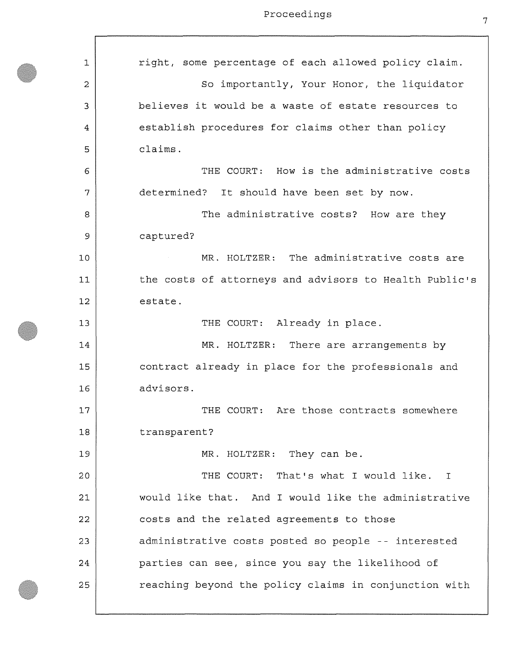$\sqrt{ }$ 

| 1  | right, some percentage of each allowed policy claim.                                                                                    |
|----|-----------------------------------------------------------------------------------------------------------------------------------------|
| 2  | So importantly, Your Honor, the liquidator                                                                                              |
| 3  | believes it would be a waste of estate resources to                                                                                     |
| 4  | establish procedures for claims other than policy                                                                                       |
| 5  | claims.                                                                                                                                 |
| 6  | THE COURT: How is the administrative costs                                                                                              |
| 7  | determined? It should have been set by now.                                                                                             |
| 8  | The administrative costs? How are they                                                                                                  |
| 9  | captured?                                                                                                                               |
| 10 | MR. HOLTZER: The administrative costs are<br>$\mathcal{O}(\mathcal{A})$ and $\mathcal{O}(\mathcal{A})$ . The $\mathcal{O}(\mathcal{A})$ |
| 11 | the costs of attorneys and advisors to Health Public's                                                                                  |
| 12 | estate.                                                                                                                                 |
| 13 | THE COURT: Already in place.                                                                                                            |
| 14 | MR. HOLTZER: There are arrangements by                                                                                                  |
| 15 | contract already in place for the professionals and                                                                                     |
| 16 | advisors.                                                                                                                               |
| 17 | THE COURT: Are those contracts somewhere                                                                                                |
| 18 | transparent?                                                                                                                            |
| 19 | MR. HOLTZER: They can be.                                                                                                               |
| 20 | THE COURT: That's what I would like. I                                                                                                  |
| 21 | would like that. And I would like the administrative                                                                                    |
| 22 | costs and the related agreements to those                                                                                               |
| 23 | administrative costs posted so people -- interested                                                                                     |
| 24 | parties can see, since you say the likelihood of                                                                                        |
| 25 | reaching beyond the policy claims in conjunction with                                                                                   |
|    |                                                                                                                                         |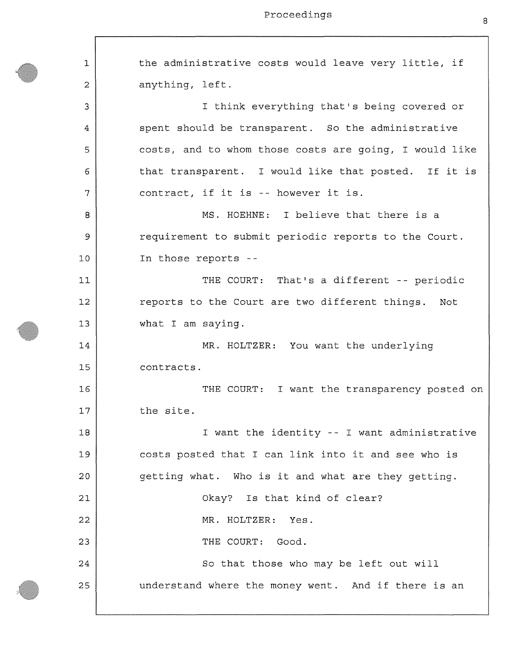| $\mathbf{1}$   | the administrative costs would leave very little, if   |
|----------------|--------------------------------------------------------|
| $\overline{2}$ | anything, left.                                        |
| 3              | I think everything that's being covered or             |
| 4              | spent should be transparent. So the administrative     |
| 5              | costs, and to whom those costs are going, I would like |
| 6              | that transparent. I would like that posted. If it is   |
| 7              | contract, if it is -- however it is.                   |
| 8              | MS. HOEHNE: I believe that there is a                  |
| 9              | requirement to submit periodic reports to the Court.   |
| 10             | In those reports --                                    |
| 11             | THE COURT: That's a different -- periodic              |
| 12             | reports to the Court are two different things. Not     |
| 13             | what I am saying.                                      |
| 14             | MR. HOLTZER: You want the underlying                   |
| 15             | contracts.                                             |
| 16             | THE COURT: I want the transparency posted on           |
| 17             | the site.                                              |
| 18             | I want the identity -- I want administrative           |
| 19             | costs posted that I can link into it and see who is    |
| 20             | getting what. Who is it and what are they getting.     |
| 21             | Okay? Is that kind of clear?                           |
| 22             | MR. HOLTZER: Yes.                                      |
| 23             | THE COURT: Good.                                       |
| 24             | So that those who may be left out will                 |
| 25             | understand where the money went. And if there is an    |
|                |                                                        |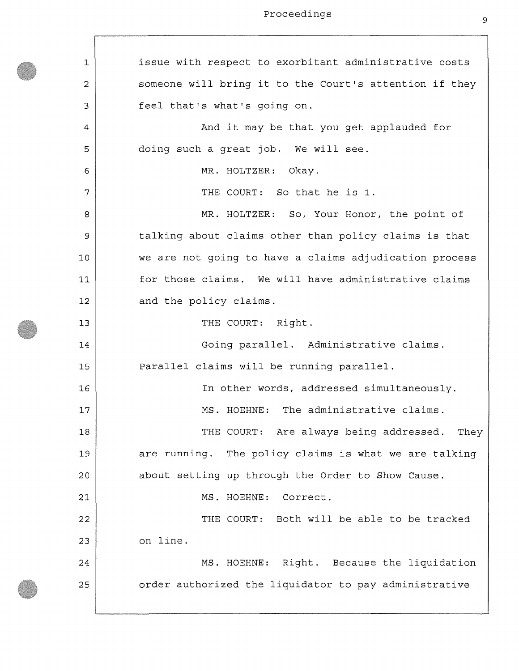Proceedings and the set of the set of the set of the set of the set of the set of the set of the set of the set of the set of the set of the set of the set of the set of the set of the set of the set of the set of the set

1 **2**  3 4 5 **6**  7 **8**  9 **10 11 12**  13 14 15 **16**  17 **18**  19 **20 21 22**  23 24 25 issue with respect to exorbitant administrative costs someone will bring it to the Court's attention if they feel that's what's going on. And it may be that you get applauded for doing such a great job. We will see. MR. HOLTZER: Okay. THE COURT: So that he is 1. MR. HOLTZER: So, Your Honor, the point of talking about claims other than policy claims is that we are not going to have a claims adjudication process for those claims. We will have administrative claims and the policy claims. THE COURT: Right. Going parallel. Administrative claims. Parallel claims will be running parallel. In other words, addressed simultaneously. MS. HOEHNE: The administrative claims. THE COURT: Are always being addressed. They are running. The policy claims is what we are talking about setting up through the Order to Show Cause. MS. HOEHNE: Correct. THE COURT: Both will be able to be tracked on line. MS. HOEHNE: Right. Because the liquidation order authorized the liquidator to pay administrative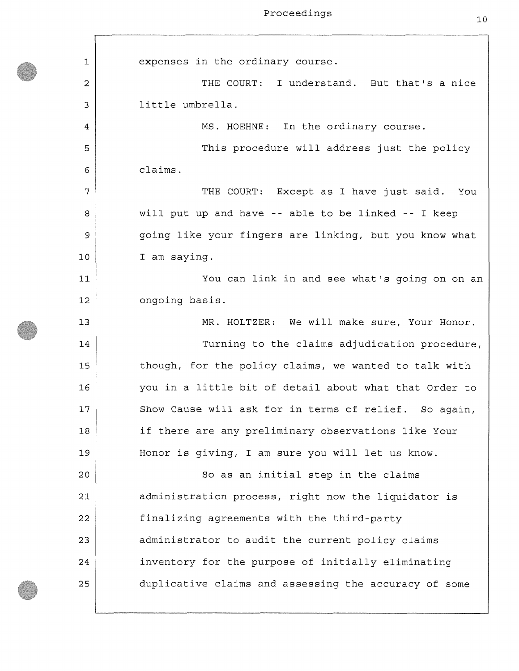| 1  | expenses in the ordinary course.                       |
|----|--------------------------------------------------------|
| 2  | THE COURT: I understand. But that's a nice             |
| 3  | little umbrella.                                       |
| 4  | MS. HOEHNE: In the ordinary course.                    |
| 5  | This procedure will address just the policy            |
| 6  | claims.                                                |
| 7  | THE COURT: Except as I have just said. You             |
| 8  | will put up and have -- able to be linked -- I keep    |
| 9  | going like your fingers are linking, but you know what |
| 10 | I am saying.                                           |
| 11 | You can link in and see what's going on on an          |
| 12 | ongoing basis.                                         |
| 13 | MR. HOLTZER: We will make sure, Your Honor.            |
| 14 | Turning to the claims adjudication procedure,          |
| 15 | though, for the policy claims, we wanted to talk with  |
| 16 | you in a little bit of detail about what that Order to |
| 17 | Show Cause will ask for in terms of relief. So again,  |
| 18 | if there are any preliminary observations like Your    |
| 19 | Honor is giving, I am sure you will let us know.       |
| 20 | So as an initial step in the claims                    |
| 21 | administration process, right now the liquidator is    |
| 22 | finalizing agreements with the third-party             |
| 23 | administrator to audit the current policy claims       |
| 24 | inventory for the purpose of initially eliminating     |
| 25 | duplicative claims and assessing the accuracy of some  |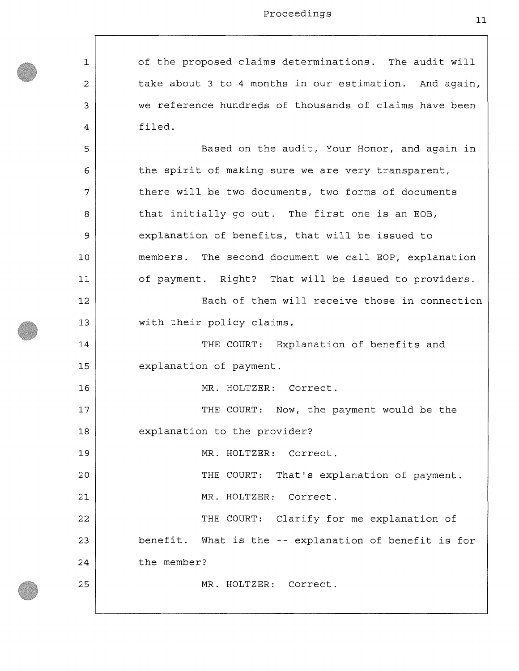**1 2**  3 4 5 6 7 **8**  9 10 **11 12**  13 14 15 **16**  17 **18**  19 **20 21 22**  23 24 25 of the proposed claims determinations. The audit will take about 3 to 4 months in our estimation. And again, we reference hundreds of thousands of claims have been filed. Based on the audit, Your Honor, and again in the spirit of making sure we are very transparent, there will be two documents, two forms of documents that initially go out. The first one is an EOB, explanation of benefits, that will be issued to members. The second document we call EOP, explanation of payment. Right? That will be issued to providers. Each of them will receive those in connection with their policy claims. THE COURT: Explanation of benefits and explanation of payment. MR. HOLTZER: Correct. THE COURT: Now, the payment would be the explanation to the provider? MR. HOLTZER: Correct. THE COURT: That's explanation of payment. MR. HOLTZER: Correct. THE COURT: Clarify for me explanation of benefit. What is the -- explanation of benefit is for the member? MR. HOLTZER: Correct.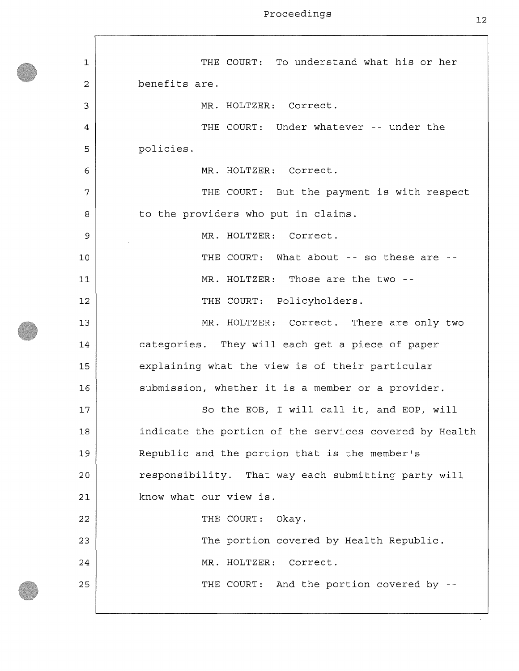$\Gamma$ 

| 1  | THE COURT: To understand what his or her               |
|----|--------------------------------------------------------|
| 2  | benefits are.                                          |
| 3  | MR. HOLTZER: Correct.                                  |
| 4  | THE COURT: Under whatever -- under the                 |
| 5  | policies.                                              |
| 6  | MR. HOLTZER: Correct.                                  |
| 7  | THE COURT: But the payment is with respect             |
| 8  | to the providers who put in claims.                    |
| 9  | MR. HOLTZER: Correct.                                  |
| 10 | THE COURT: What about -- so these are --               |
| 11 | MR. HOLTZER: Those are the two --                      |
| 12 | THE COURT: Policyholders.                              |
| 13 | MR. HOLTZER: Correct. There are only two               |
| 14 | categories. They will each get a piece of paper        |
| 15 | explaining what the view is of their particular        |
| 16 | submission, whether it is a member or a provider.      |
| 17 | So the EOB, I will call it, and EOP, will              |
| 18 | indicate the portion of the services covered by Health |
| 19 | Republic and the portion that is the member's          |
| 20 | responsibility. That way each submitting party will    |
| 21 | know what our view is.                                 |
| 22 | THE COURT: Okay.                                       |
| 23 | The portion covered by Health Republic.                |
| 24 | MR. HOLTZER: Correct.                                  |
| 25 | THE COURT: And the portion covered by --               |
|    |                                                        |

 $\epsilon$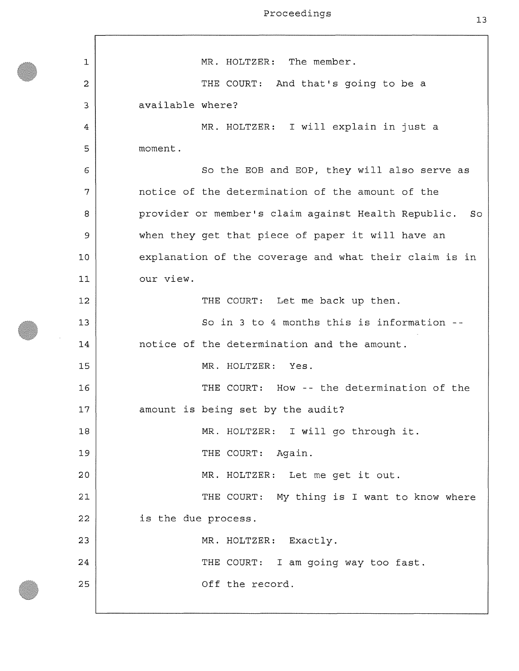1 **2**  3 4 5 6 7 **8**  9 **10 11 12**  13 14 15 15 17 **18**  19 **20 21 22**  23 24 25 MR. HOLTZER: The member. THE COURT: And that's going to be a available where? MR. HOLTZER: I will explain in just a moment. So the EOB and EOP, they will also serve as notice of the determination of the amount of the provider or member's claim against Health Republic. So when they get that piece of paper it will have an explanation of the coverage and what their claim is in our view. THE COURT: Let me back up then. So in 3 to 4 months this is information notice of the determination and the amount. MR. HOLTZER: Yes. THE COURT: How -- the determination of the amount is being set by the audit? MR. HOLTZER: I will go through it. THE COURT: Again. MR. HOLTZER: Let me get it out. THE COURT: My thing is I want to know where is the due process. MR. HOLTZER: Exactly. THE COURT: I am going way too fast. Off the record.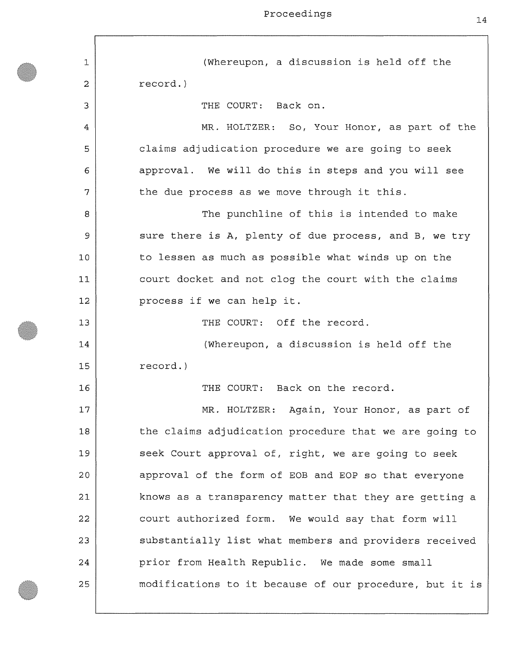1 **2**  3 4 5 6 7 **8**  9 **10 11 12**  13 14 15 **16**  17 **18**  19 **20 21 22**  23 24 25 (Whereupon, a discussion is held off the record.) THE COURT: Back on. MR. HOLTZER: So, Your Honor, as part of the claims adjudication procedure we are going to seek approval. We will do this in steps and you will see the due process as we move through it this. The punchline of this is intended to make sure there is A, plenty of due process, and B, we try to lessen as much as possible what winds up on the court docket and not clog the court with the claims process if we can help it. THE COURT: Off the record. (Whereupon, a discussion is held off the record.) THE COURT: Back on the record. MR. HOLTZER: Again, Your Honor, as part of the claims adjudication procedure that we are going to seek Court approval of, right, we are going to seek approval of the form of EOB and EOP so that everyone knows as a transparency matter that they are getting a court authorized form. We would say that form will substantially list what members and providers received prior from Health Republic. We made some small modifications to it because of our procedure, but it is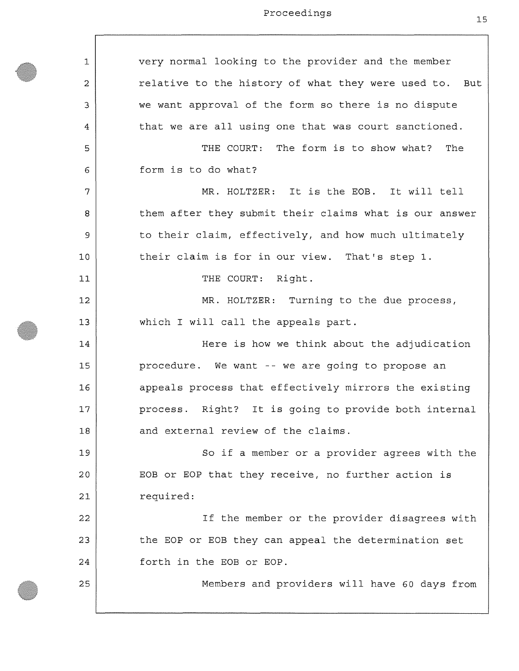$\Gamma$ 

| 1  | very normal looking to the provider and the member     |
|----|--------------------------------------------------------|
| 2  | relative to the history of what they were used to. But |
| 3  | we want approval of the form so there is no dispute    |
| 4  | that we are all using one that was court sanctioned.   |
| 5  | THE COURT: The form is to show what? The               |
| 6  | form is to do what?                                    |
| 7  | MR. HOLTZER: It is the EOB. It will tell               |
| 8  | them after they submit their claims what is our answer |
| 9  | to their claim, effectively, and how much ultimately   |
| 10 | their claim is for in our view. That's step 1.         |
| 11 | THE COURT: Right.                                      |
| 12 | MR. HOLTZER: Turning to the due process,               |
| 13 | which I will call the appeals part.                    |
| 14 | Here is how we think about the adjudication            |
| 15 | procedure. We want -- we are going to propose an       |
| 16 | appeals process that effectively mirrors the existing  |
| 17 | process. Right? It is going to provide both internal   |
| 18 | and external review of the claims.                     |
| 19 | So if a member or a provider agrees with the           |
| 20 | EOB or EOP that they receive, no further action is     |
| 21 | required:                                              |
| 22 | If the member or the provider disagrees with           |
| 23 | the EOP or EOB they can appeal the determination set   |
| 24 | forth in the EOB or EOP.                               |
| 25 | Members and providers will have 60 days from           |
|    |                                                        |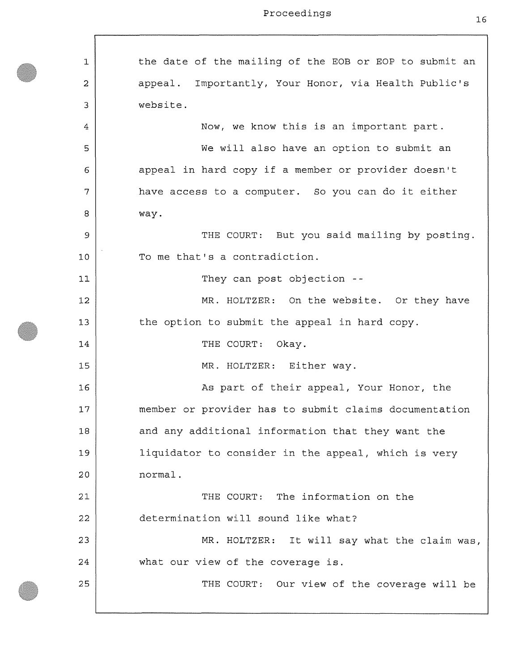1 **2**  3 4 5 6 7 **8**  9 **10**  11 **12**  13 14 15 **16**  17 **18**  19 20 **21 22**  23 24 25 the date of the mailing of the EOB or EOP to submit an appeal. Importantly, Your Honor, via Health Public's website. Now, we know this is an important part. We will also have an option to submit an appeal in hard copy if a member or provider doesn't have access to a computer. So you can do it either way. THE COURT: But you said mailing by posting. To me that's a contradiction. They can post objection - MR. HOLTZER: On the website. Or they have the option to submit the appeal in hard copy. THE COURT: Okay. MR. HOLTZER: Either way. As part of their appeal, Your Honor, the member or provider has to submit claims documentation and any additional information that they want the liquidator to consider in the appeal, which is very normal. THE COURT: The information on the determination will sound like what? MR. HOLTZER: It will say what the claim was, what our view of the coverage is. THE COURT: Our view of the coverage will be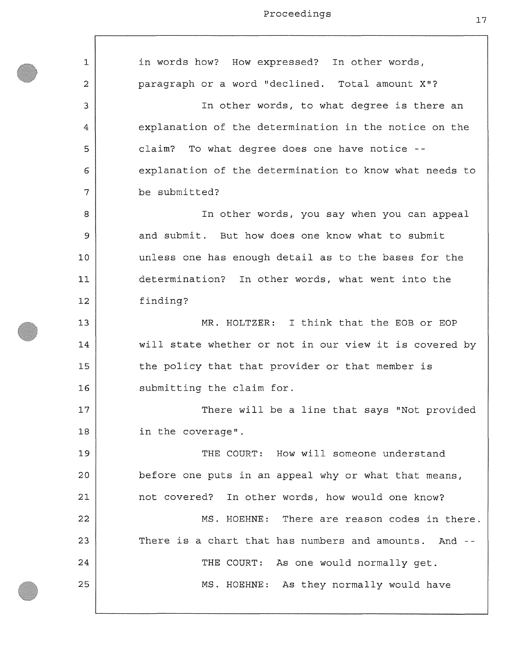$\overline{\phantom{a}}$ 

| 1  | in words how? How expressed? In other words,           |
|----|--------------------------------------------------------|
| 2  | paragraph or a word "declined. Total amount X"?        |
| 3  | In other words, to what degree is there an             |
| 4  | explanation of the determination in the notice on the  |
| 5  | claim? To what degree does one have notice --          |
| 6  | explanation of the determination to know what needs to |
| 7  | be submitted?                                          |
| 8  | In other words, you say when you can appeal            |
| 9  | and submit. But how does one know what to submit       |
| 10 | unless one has enough detail as to the bases for the   |
| 11 | determination? In other words, what went into the      |
| 12 | finding?                                               |
| 13 | MR. HOLTZER: I think that the EOB or EOP               |
| 14 | will state whether or not in our view it is covered by |
| 15 | the policy that that provider or that member is        |
| 16 | submitting the claim for.                              |
| 17 | There will be a line that says "Not provided           |
| 18 | in the coverage".                                      |
| 19 | THE COURT: How will someone understand                 |
| 20 | before one puts in an appeal why or what that means,   |
| 21 | not covered? In other words, how would one know?       |
| 22 | MS. HOEHNE: There are reason codes in there.           |
| 23 | There is a chart that has numbers and amounts. And --  |
| 24 | THE COURT: As one would normally get.                  |
| 25 | MS. HOEHNE: As they normally would have                |
|    |                                                        |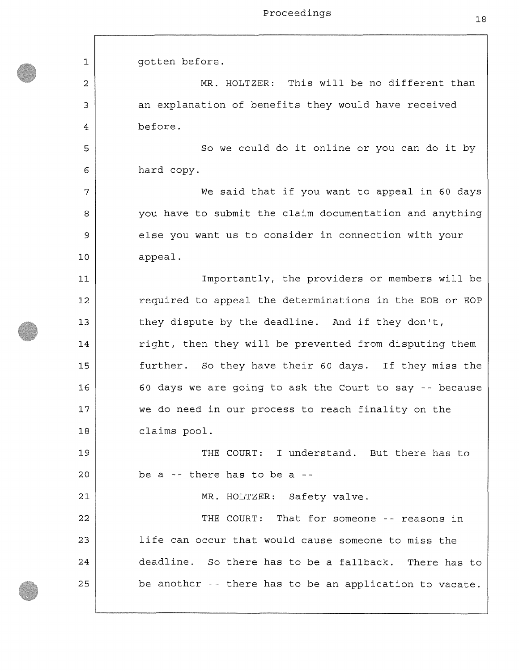**1 2**  3 4 5 **6**  7 **8**  9 **10 11 12**  13 14 15 **16**  17 **18**  19 **20 21 22**  23 24 25 gotten before. MR. HOLTZER: This will be no different than an explanation of benefits they would have received before. So we could do it online or you can do it by hard copy. We said that if you want to appeal in 60 days you have to submit the claim documentation and anything else you want us to consider in connection with your appeal. Importantly, the providers or members will be required to appeal the determinations in the EOB or EOP they dispute by the deadline. And if they don't, right, then they will be prevented from disputing them further. So they have their 60 days. If they miss the 60 days we are going to ask the Court to say -- because we do need in our process to reach finality on the claims pool. THE COURT: I understand. But there has to be a -- there has to be a - MR. HOLTZER: Safety valve. THE COURT: That for someone -- reasons in life can occur that would cause someone to miss the deadline. So there has to be a fallback. There has to be another -- there has to be an application to vacate.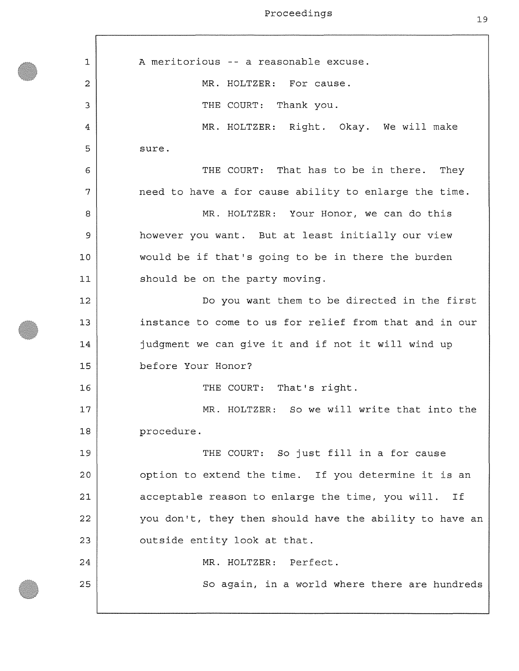1 **2**  3 4 5 **6**  7 **8**  9 **10 11 12**  13 14 15 **16**  17 **18**  19 **20 21 22**  23 24 25 A meritorious -- a reasonable excuse. MR. HOLTZER: For cause. THE COURT: Thank you. MR. HOLTZER: Right. Okay. We will make sure . THE COURT: That has to be in there. They need to have a for cause ability to enlarge the time. MR. HOLTZER: Your Honor, we can do this however you want. But at least initially our view would be if that's going to be in there the burden should be on the party moving. Do you want them to be directed in the first instance to come to us for relief from that and in our judgment we can give it and if not it will wind up before Your Honor? THE COURT: That's right. MR. HOLTZER: So we will write that into the procedure. THE COURT: So just fill in a for cause option to extend the time. If you determine it is an acceptable reason to enlarge the time, you will. If you don't, they then should have the ability to have an outside entity look at that. MR. HOLTZER: Perfect. So again, in a world where there are hundreds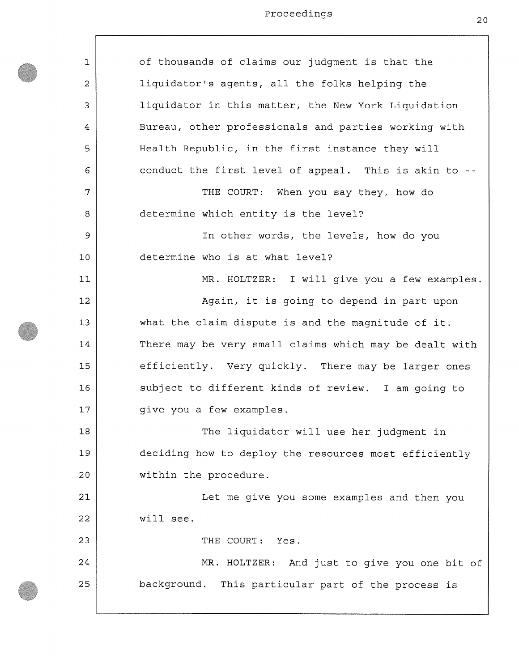| $\mathbf 1$    | of thousands of claims our judgment is that the        |
|----------------|--------------------------------------------------------|
| $\overline{a}$ | liquidator's agents, all the folks helping the         |
| 3              | liquidator in this matter, the New York Liquidation    |
| 4              | Bureau, other professionals and parties working with   |
| 5              | Health Republic, in the first instance they will       |
| 6              | conduct the first level of appeal. This is akin to --  |
| 7              | THE COURT: When you say they, how do                   |
| 8              | determine which entity is the level?                   |
| 9              | In other words, the levels, how do you                 |
| 10             | determine who is at what level?                        |
| 11             | MR. HOLTZER: I will give you a few examples.           |
| 12             | Again, it is going to depend in part upon              |
| 13             | what the claim dispute is and the magnitude of it.     |
| 14             | There may be very small claims which may be dealt with |
| 15             | efficiently. Very quickly. There may be larger ones    |
| 16             | subject to different kinds of review. I am going to    |
| 17             | give you a few examples.                               |
| 18             | The liquidator will use her judgment in                |
| 19             | deciding how to deploy the resources most efficiently  |
| 20             | within the procedure.                                  |
| 21             | Let me give you some examples and then you             |
| 22             | will see.                                              |
| 23             | THE COURT: Yes.                                        |
| 24             | MR. HOLTZER: And just to give you one bit of           |
| 25             | background. This particular part of the process is     |
|                |                                                        |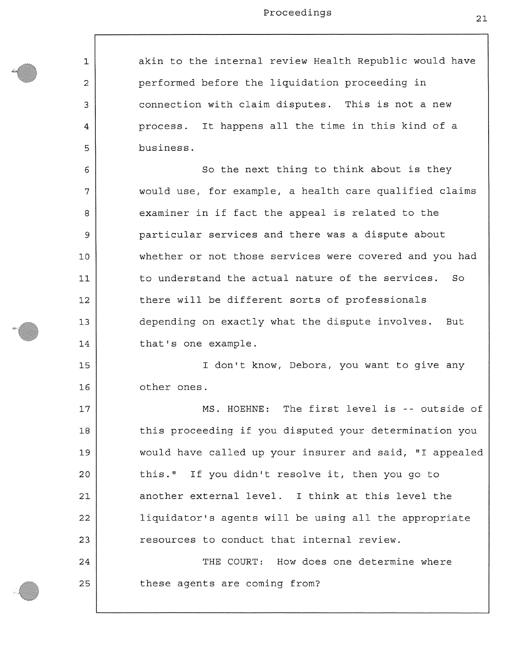akin to the internal review Health Republic would have performed before the liquidation proceeding in connection with claim disputes. This is not a new process. It happens all the time in this kind of a business.

1

**2** 

3

4

5

**6** 

7

**8** 

9

**10** 

**11** 

**12** 

13

14

15

**16** 

17

**18** 

19

**20** 

**21** 

**22** 

23

24

25

So the next thing to think about is they would use, for example, a health care qualified claims examiner in if fact the appeal is related to the particular services and there was a dispute about whether or not those services were covered and you had to understand the actual nature of the services. So there will be different sorts of professionals depending on exactly what the dispute involves. But that's one example.

I don't know, Debora, you want to give any other ones.

MS. HOEHNE: The first level is -- outside of this proceeding if you disputed your determination you would have called up your insurer and said, "I appealed this." If you didn't resolve it, then you go to another external level. I think at this level the liquidator's agents will be using all the appropriate resources to conduct that internal review. THE COURT: How does one determine where

these agents are coming from?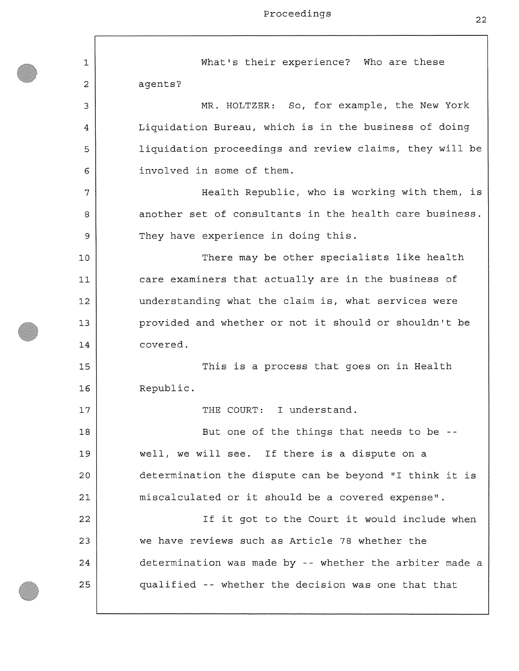1 **2**  3 4 5 6 7 **8**  9 **10 11 12**  13 14 15 **16**  17 **18**  19 **20 21 22**  23 24 25 What's their experience? Who are these agents? MR. HOLTZER: So, for example, the New York Liquidation Bureau, which is in the business of doing liquidation proceedings and review claims, they will be involved in some of them. Health Republic, who is working with them, is another set of consultants in the health care business. They have experience in doing this. There may be other specialists like health care examiners that actually are in the business of understanding what the claim is, what services were provided and whether or not it should or shouldn't be covered. This is a process that goes on in Health Republic. THE COURT: I understand. But one of the things that needs to be well, we will see. If there is a dispute on a determination the dispute can be beyond "I think it is miscalculated or it should be a covered expense". If it got to the Court it would include when we have reviews such as Article 78 whether the determination was made by -- whether the arbiter made a qualified -- whether the decision was one that that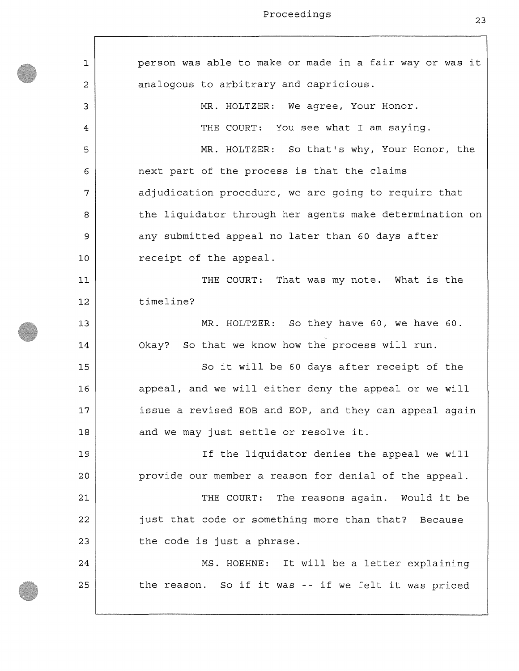$\overline{\phantom{a}}$ 

| 1  | person was able to make or made in a fair way or was it |
|----|---------------------------------------------------------|
| 2  | analogous to arbitrary and capricious.                  |
| 3  | MR. HOLTZER: We agree, Your Honor.                      |
| 4  | THE COURT: You see what I am saying.                    |
| 5  | MR. HOLTZER: So that's why, Your Honor, the             |
| 6  | next part of the process is that the claims             |
| 7  | adjudication procedure, we are going to require that    |
| 8  | the liquidator through her agents make determination on |
| 9  | any submitted appeal no later than 60 days after        |
| 10 | receipt of the appeal.                                  |
| 11 | THE COURT: That was my note. What is the                |
| 12 | timeline?                                               |
| 13 | MR. HOLTZER: So they have 60, we have 60.               |
| 14 | Okay? So that we know how the process will run.         |
| 15 | So it will be 60 days after receipt of the              |
| 16 | appeal, and we will either deny the appeal or we will   |
| 17 | issue a revised EOB and EOP, and they can appeal again  |
| 18 | and we may just settle or resolve it.                   |
| 19 | If the liquidator denies the appeal we will             |
| 20 | provide our member a reason for denial of the appeal.   |
| 21 | THE COURT: The reasons again. Would it be               |
| 22 | just that code or something more than that? Because     |
| 23 | the code is just a phrase.                              |
| 24 | MS. HOEHNE: It will be a letter explaining              |
| 25 | the reason. So if it was -- if we felt it was priced    |
|    |                                                         |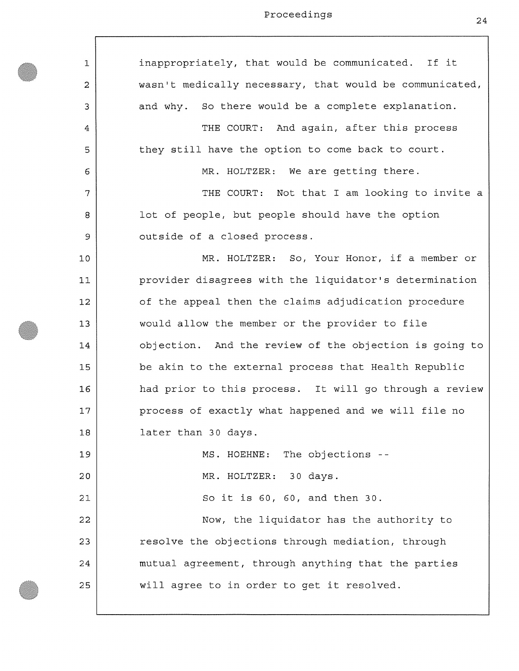$\lceil$ 

| $\mathbf{1}$   | inappropriately, that would be communicated. If it      |
|----------------|---------------------------------------------------------|
| $\overline{c}$ | wasn't medically necessary, that would be communicated, |
| 3              | and why. So there would be a complete explanation.      |
| 4              | THE COURT: And again, after this process                |
| 5              | they still have the option to come back to court.       |
| 6              | MR. HOLTZER: We are getting there.                      |
| 7              | THE COURT: Not that I am looking to invite a            |
| 8              | lot of people, but people should have the option        |
| 9              | outside of a closed process.                            |
| 10             | MR. HOLTZER: So, Your Honor, if a member or             |
| 11             | provider disagrees with the liquidator's determination  |
| 12             | of the appeal then the claims adjudication procedure    |
| 13             | would allow the member or the provider to file          |
| 14             | objection. And the review of the objection is going to  |
| 15             | be akin to the external process that Health Republic    |
| 16             | had prior to this process. It will go through a review  |
| 17             | process of exactly what happened and we will file no    |
| 18             | later than 30 days.                                     |
| 19             | MS. HOEHNE: The objections --                           |
| 20             | MR. HOLTZER: 30 days.                                   |
| 21             | So it is 60, 60, and then 30.                           |
| 22             | Now, the liquidator has the authority to                |
| 23             | resolve the objections through mediation, through       |
| 24             | mutual agreement, through anything that the parties     |
| 25             | will agree to in order to get it resolved.              |
|                |                                                         |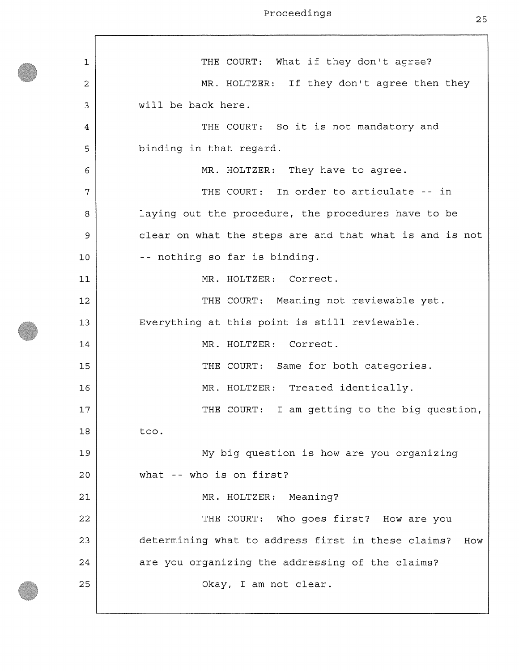1 **2**  3 4 5 **6**  7 **8**  9 **10 11 12**  13 14 15 **16**  17 **18**  19 **20 21 22**  23 24 25 THE COURT: What if they don't agree? MR. HOLTZER: If they don't agree then they will be back here. THE COURT: So it is not mandatory and binding in that regard. MR. HOLTZER: They have to agree. THE COURT: In order to articulate -- in laying out the procedure, the procedures have to be clear on what the steps are and that what is and is not -- nothing so far is binding. MR. HOLTZER: Correct. THE COURT: Meaning not reviewable yet. Everything at this point is still reviewable. MR. HOLTZER: Correct. THE COURT: Same for both categories. MR. HOLTZER: Treated identically. THE COURT: I am getting to the big question, too. My big question is how are you organizing what -- who is on first? MR. HOLTZER: Meaning? THE COURT: Who goes first? How are you determining what to address first in these claims? How are you organizing the addressing of the claims? Okay, I am not clear.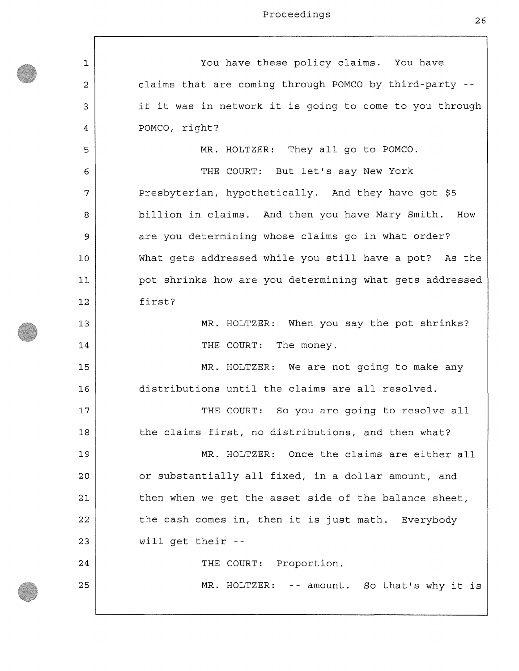| 1  | You have these policy claims. You have                  |
|----|---------------------------------------------------------|
| 2  | claims that are coming through POMCO by third-party --  |
| 3  | if it was in network it is going to come to you through |
| 4  | POMCO, right?                                           |
| 5  | MR. HOLTZER: They all go to POMCO.                      |
| 6  | THE COURT: But let's say New York                       |
| 7  | Presbyterian, hypothetically. And they have got \$5     |
| 8  | billion in claims. And then you have Mary Smith.<br>How |
| 9  | are you determining whose claims go in what order?      |
| 10 | What gets addressed while you still have a pot? As the  |
| 11 | pot shrinks how are you determining what gets addressed |
| 12 | first?                                                  |
| 13 | MR. HOLTZER: When you say the pot shrinks?              |
| 14 | THE COURT: The money.                                   |
| 15 | MR. HOLTZER: We are not going to make any               |
| 16 | distributions until the claims are all resolved.        |
| 17 | So you are going to resolve all<br>THE COURT:           |
| 18 | the claims first, no distributions, and then what?      |
| 19 | MR. HOLTZER: Once the claims are either all             |
| 20 | or substantially all fixed, in a dollar amount, and     |
| 21 | then when we get the asset side of the balance sheet,   |
| 22 | the cash comes in, then it is just math. Everybody      |
| 23 | will get their --                                       |
| 24 | THE COURT: Proportion.                                  |
| 25 | MR. HOLTZER: -- amount. So that's why it is             |
|    |                                                         |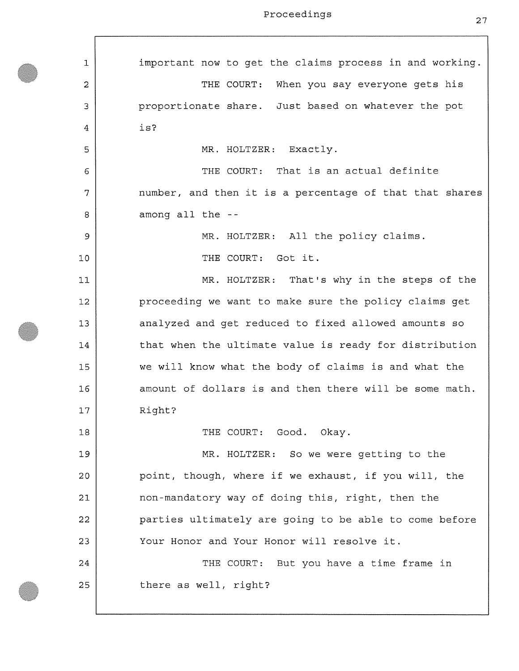1 **2**  3 4 5 6 7 **8**  9 **10**  11 **12**  13 14 15 **16**  17 **18**  19 **20 21 22**  23 24 25 important now to get the claims process in and working. THE COURT: When you say everyone gets his proportionate share. Just based on whatever the pot is? MR. HOLTZER: Exactly. THE COURT: That is an actual definite number, and then it is a percentage of that that shares among all the - MR. HOLTZER: All the policy claims. THE COURT: Got it. MR. HOLTZER: That's why in the steps of the proceeding we want to make sure the policy claims get analyzed and get reduced to fixed allowed amounts so that when the ultimate value is ready for distribution we will know what the body of claims is and what the amount of dollars is and then there will be some math. Right? THE COURT: Good. Okay. MR. HOLTZER: So we were getting to the point, though, where if we exhaust, if you will, the non-mandatory way of doing this, right, then the parties ultimately are going to be able to come before Your Honor and Your Honor will resolve it. THE COURT: But you have a time frame in there as well, right?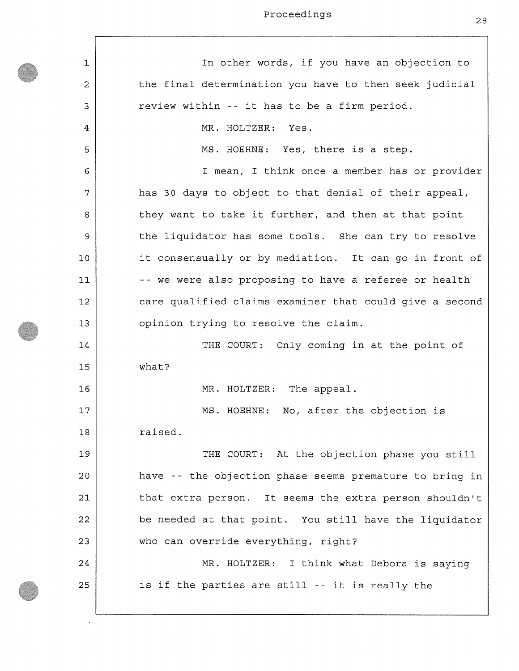| 1  | In other words, if you have an objection to             |
|----|---------------------------------------------------------|
| 2  | the final determination you have to then seek judicial  |
| 3  | review within -- it has to be a firm period.            |
| 4  | MR. HOLTZER: Yes.                                       |
| 5  | MS. HOEHNE: Yes, there is a step.                       |
| 6  | I mean, I think once a member has or provider           |
| 7  | has 30 days to object to that denial of their appeal,   |
| 8  | they want to take it further, and then at that point    |
| 9  | the liquidator has some tools. She can try to resolve   |
| 10 | it consensually or by mediation. It can go in front of  |
| 11 | -- we were also proposing to have a referee or health   |
| 12 | care qualified claims examiner that could give a second |
| 13 | opinion trying to resolve the claim.                    |
| 14 | THE COURT: Only coming in at the point of               |
| 15 | what?                                                   |
| 16 | MR. HOLTZER: The appeal.                                |
| 17 | MS. HOEHNE: No, after the objection is                  |
| 18 | raised.                                                 |
| 19 | THE COURT: At the objection phase you still             |
| 20 | have -- the objection phase seems premature to bring in |
| 21 | that extra person. It seems the extra person shouldn't  |
| 22 | be needed at that point. You still have the liquidator  |
| 23 | who can override everything, right?                     |
| 24 | MR. HOLTZER: I think what Debora is saying              |
| 25 | is if the parties are still -- it is really the         |
|    |                                                         |

J,  $\overline{\phantom{a}}$ 

28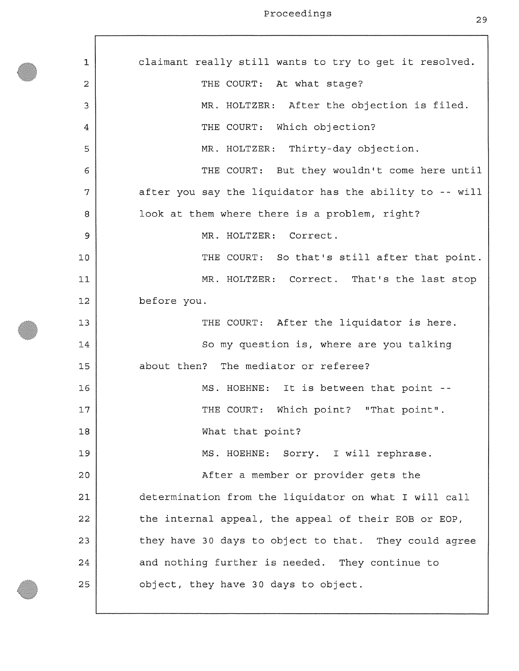| 1  | claimant really still wants to try to get it resolved.  |
|----|---------------------------------------------------------|
| 2  | THE COURT: At what stage?                               |
| 3  | MR. HOLTZER: After the objection is filed.              |
| 4  | THE COURT: Which objection?                             |
| 5  | MR. HOLTZER: Thirty-day objection.                      |
| 6  | THE COURT: But they wouldn't come here until            |
| 7  | after you say the liquidator has the ability to -- will |
| 8  | look at them where there is a problem, right?           |
| 9  | MR. HOLTZER: Correct.                                   |
| 10 | THE COURT: So that's still after that point.            |
| 11 | MR. HOLTZER: Correct. That's the last stop              |
| 12 | before you.                                             |
| 13 | THE COURT: After the liquidator is here.                |
| 14 | So my question is, where are you talking                |
| 15 | about then? The mediator or referee?                    |
| 16 | MS. HOEHNE: It is between that point --                 |
| 17 | THE COURT: Which point? "That point".                   |
| 18 | What that point?                                        |
| 19 | MS. HOEHNE: Sorry. I will rephrase.                     |
| 20 | After a member or provider gets the                     |
| 21 | determination from the liquidator on what I will call   |
| 22 | the internal appeal, the appeal of their EOB or EOP,    |
| 23 | they have 30 days to object to that. They could agree   |
| 24 | and nothing further is needed. They continue to         |
| 25 | object, they have 30 days to object.                    |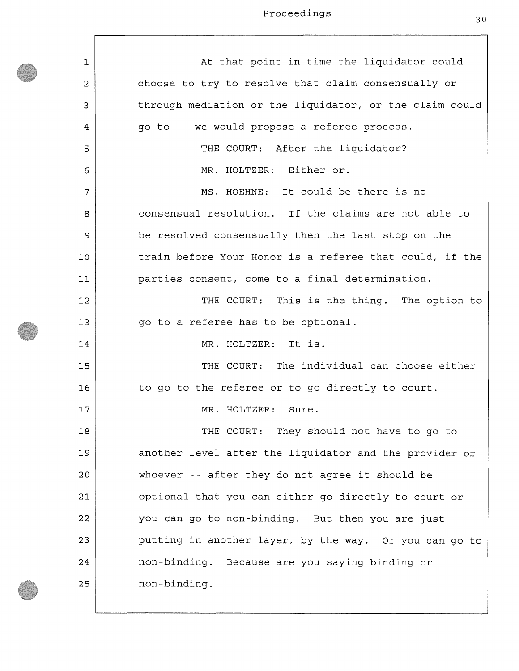$\sqrt{ }$ 

| 1              | At that point in time the liquidator could              |
|----------------|---------------------------------------------------------|
| $\overline{2}$ | choose to try to resolve that claim consensually or     |
| 3              | through mediation or the liquidator, or the claim could |
| 4              | go to -- we would propose a referee process.            |
| 5              | THE COURT: After the liquidator?                        |
| 6              | MR. HOLTZER: Either or.                                 |
| 7              | MS. HOEHNE: It could be there is no                     |
| 8              | consensual resolution. If the claims are not able to    |
| 9              | be resolved consensually then the last stop on the      |
| 10             | train before Your Honor is a referee that could, if the |
| 11             | parties consent, come to a final determination.         |
| 12             | THE COURT: This is the thing. The option to             |
| 13             | go to a referee has to be optional.                     |
| 14             | MR. HOLTZER: It is.                                     |
| 15             | THE COURT: The individual can choose either             |
| 16             | to go to the referee or to go directly to court.        |
| 17             | MR. HOLTZER: Sure.                                      |
| 18             | THE COURT: They should not have to go to                |
| 19             | another level after the liquidator and the provider or  |
| 20             | whoever -- after they do not agree it should be         |
| 21             | optional that you can either go directly to court or    |
| 22             | you can go to non-binding. But then you are just        |
| 23             | putting in another layer, by the way. Or you can go to  |
| 24             | non-binding. Because are you saying binding or          |
| 25             | non-binding.                                            |

⅂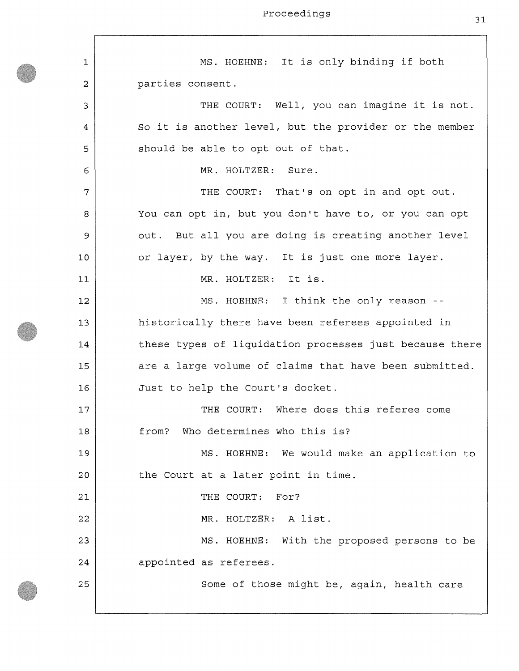**1 2**  3 4 5 6 7 **8**  9 **10 11 12**  13 14 15 **16**  17 **18**  19 **20**  21 **22**  23 24 25 MS. HOEHNE: It is only binding if both parties consent. THE COURT: Well, you can imagine it is not. So it is another level, but the provider or the member should be able to opt out of that. MR. HOLTZER: Sure. THE COURT: That's on opt in and opt out. You can opt in, but you don't have to, or you can opt out. But all you are doing is creating another level or layer, by the way. It is just one more layer. MR. HOLTZER: It is. MS. HOEHNE: I think the only reason historically there have been referees appointed in these types of liquidation processes just because there are a large volume of claims that have been submitted. Just to help the Court's docket. THE COURT: Where does this referee come from? Who determines who this is? MS. HOEHNE: We would make an application to the Court at a later point in time. THE COURT: For? MR. HOLTZER: A list. MS. HOEHNE: With the proposed persons to be appointed as referees. Some of those might be, again, health care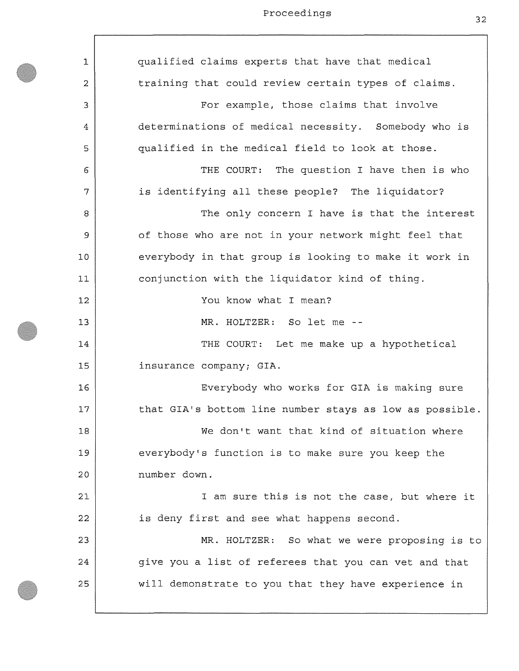$\lceil$ 

| 1  | qualified claims experts that have that medical         |
|----|---------------------------------------------------------|
| 2  | training that could review certain types of claims.     |
| 3  | For example, those claims that involve                  |
| 4  | determinations of medical necessity. Somebody who is    |
| 5  | qualified in the medical field to look at those.        |
| 6  | THE COURT: The question I have then is who              |
| 7  | is identifying all these people? The liquidator?        |
| 8  | The only concern I have is that the interest            |
| 9  | of those who are not in your network might feel that    |
| 10 | everybody in that group is looking to make it work in   |
| 11 | conjunction with the liquidator kind of thing.          |
| 12 | You know what I mean?                                   |
| 13 | MR. HOLTZER: So let me --                               |
| 14 | THE COURT: Let me make up a hypothetical                |
| 15 | insurance company; GIA.                                 |
| 16 | Everybody who works for GIA is making sure              |
| 17 | that GIA's bottom line number stays as low as possible. |
| 18 | We don't want that kind of situation where              |
| 19 | everybody's function is to make sure you keep the       |
| 20 | number down.                                            |
| 21 | I am sure this is not the case, but where it            |
| 22 | is deny first and see what happens second.              |
| 23 | MR. HOLTZER: So what we were proposing is to            |
| 24 | give you a list of referees that you can vet and that   |
| 25 | will demonstrate to you that they have experience in    |
|    |                                                         |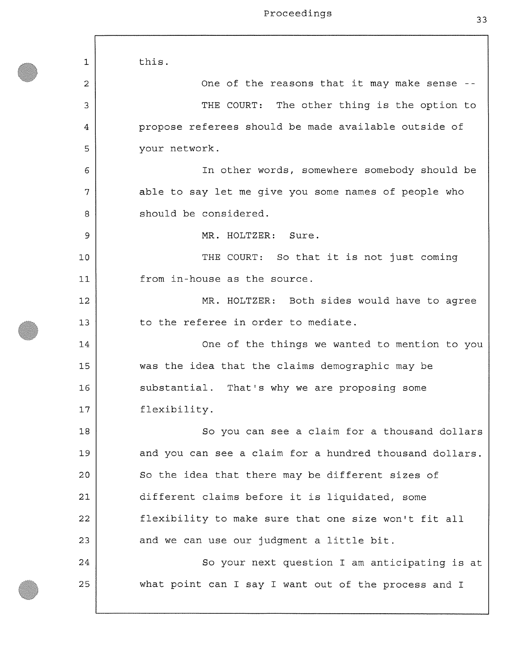**1 2**  3 4 5 **6**  7 **8**  9 **10 11 12**  13 14 15 **16**  17 **18**  19 **20 21 22**  23 24 25 this . One of the reasons that it may make sense - THE COURT: The other thing is the option to propose referees should be made available outside of your network. In other words, somewhere somebody should be able to say let me give you some names of people who should be considered. MR. HOLTZER: Sure. THE COURT: So that it is not just coming from in-house as the source. MR. HOLTZER: Both sides would have to agree to the referee in order to mediate. One of the things we wanted to mention to you was the idea that the claims demographic may be substantial. That's why we are proposing some flexibility. So you can see a claim for a thousand dollars and you can see a claim for a hundred thousand dollars. So the idea that there may be different sizes of different claims before it is liquidated, some flexibility to make sure that one size won't fit all and we can use our judgment a little bit. So your next question I am anticipating is at what point can I say I want out of the process and I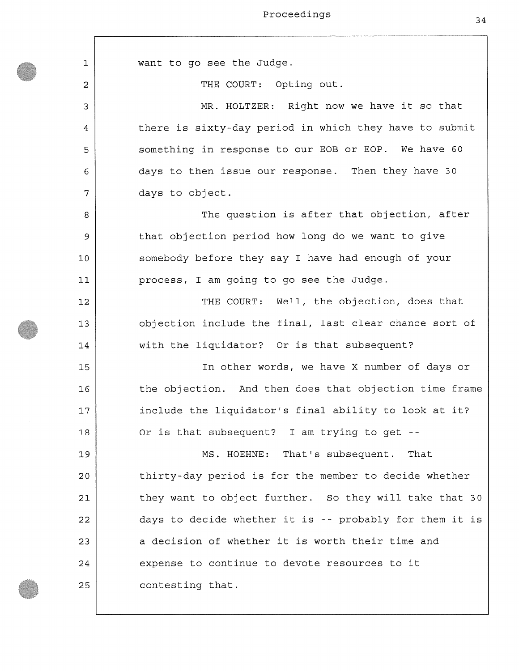| 1  | want to go see the Judge.                               |
|----|---------------------------------------------------------|
| 2  | THE COURT: Opting out.                                  |
| 3  | MR. HOLTZER: Right now we have it so that               |
| 4  | there is sixty-day period in which they have to submit  |
| 5  | something in response to our EOB or EOP. We have 60     |
| 6  | days to then issue our response. Then they have 30      |
| 7  | days to object.                                         |
| 8  | The question is after that objection, after             |
| 9  | that objection period how long do we want to give       |
| 10 | somebody before they say I have had enough of your      |
| 11 | process, I am going to go see the Judge.                |
| 12 | THE COURT: Well, the objection, does that               |
| 13 | objection include the final, last clear chance sort of  |
| 14 | with the liquidator? Or is that subsequent?             |
| 15 | In other words, we have X number of days or             |
| 16 | the objection. And then does that objection time frame  |
| 17 | include the liquidator's final ability to look at it?   |
| 18 | Or is that subsequent? I am trying to get --            |
| 19 | MS. HOEHNE: That's subsequent. That                     |
| 20 | thirty-day period is for the member to decide whether   |
| 21 | they want to object further. So they will take that 30  |
| 22 | days to decide whether it is -- probably for them it is |
| 23 | a decision of whether it is worth their time and        |
| 24 | expense to continue to devote resources to it           |
| 25 | contesting that.                                        |
|    |                                                         |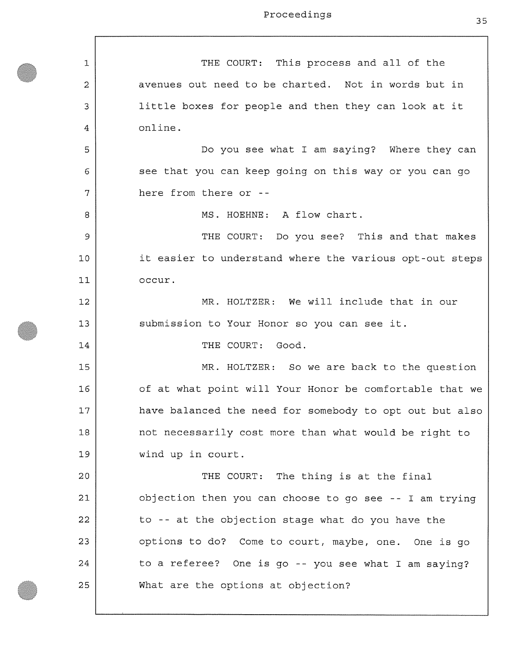$\Gamma$ 

| $\mathbf{1}$ | THE COURT: This process and all of the                  |
|--------------|---------------------------------------------------------|
| 2            | avenues out need to be charted. Not in words but in     |
| 3            | little boxes for people and then they can look at it    |
| 4            | online.                                                 |
| 5            | Do you see what I am saying? Where they can             |
| 6            | see that you can keep going on this way or you can go   |
| 7            | here from there or --                                   |
| 8            | MS. HOEHNE: A flow chart.                               |
| 9            | THE COURT: Do you see? This and that makes              |
| 10           | it easier to understand where the various opt-out steps |
| 11           | occur.                                                  |
| 12           | MR. HOLTZER: We will include that in our                |
| 13           | submission to Your Honor so you can see it.             |
| 14           | THE COURT: Good.                                        |
| 15           | MR. HOLTZER: So we are back to the question             |
| 16           | of at what point will Your Honor be comfortable that we |
| 17           | have balanced the need for somebody to opt out but also |
| 18           | not necessarily cost more than what would be right to   |
| 19           | wind up in court.                                       |
| 20           | THE COURT: The thing is at the final                    |
| 21           | objection then you can choose to go see -- I am trying  |
| 22           | to -- at the objection stage what do you have the       |
| 23           | options to do? Come to court, maybe, one. One is go     |
| 24           | to a referee? One is go -- you see what I am saying?    |
| 25           | What are the options at objection?                      |
|              |                                                         |

 $\overline{\phantom{a}}$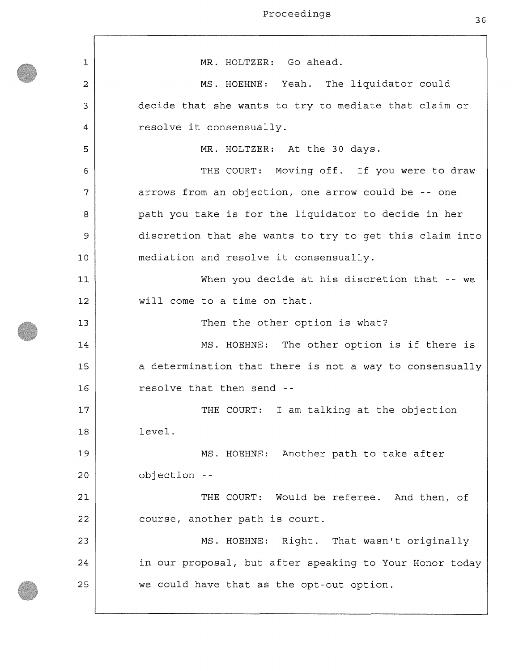1 **2**  3 4 5 **6**  7 **8**  *9*  **10**  11 **12**  13 14 15 **16**  17 **18**  19 **20 21 22**  23 24 25 MR. HOLTZER: Go ahead. MS. HOEHNE: Yeah. The liquidator could decide that she wants to try to mediate that claim or resolve it consensually. MR. HOLTZER: At the 30 days. THE COURT: Moving off. If you were to draw arrows from an objection, one arrow could be -- one path you take is for the liquidator to decide in her discretion that she wants to try to get this claim into mediation and resolve it consensually. When you decide at his discretion that -- we will come to a time on that. Then the other option is what? MS. HOEHNE: The other option is if there is a determination that there is not a way to consensually resolve that then send - THE COURT: I am talking at the objection level. MS. HOEHNE: Another path to take after objection - THE COURT: Would be referee. And then, of course, another path is court. MS. HOEHNE: Right. That wasn't originally in our proposal, but after speaking to Your Honor today we could have that as the opt-out option.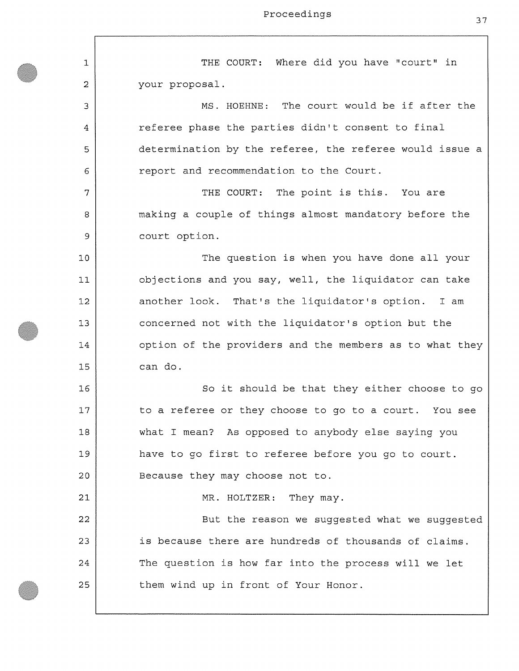1 **2**  3 4 5 **6**  7 **8**  9 **10 11 12**  13 14 15 **16**  17 **18**  19 **20 21 22**  23 24 25 THE COURT: Where did you have "court" in your proposal. MS. HOEHNE: The court would be if after the referee phase the parties didn't consent to final determination by the referee, the referee would issue a report and recommendation to the Court. THE COURT: The point is this. You are making a couple of things almost mandatory before the court option. The question is when you have done all your objections and you say, well, the liquidator can take another look. That's the liquidator's option. I am concerned not with the liquidator's option but the option of the providers and the members as to what they can do. So it should be that they either choose to go to a referee or they choose to go to a court. You see what I mean? As opposed to anybody else saying you have to go first to referee before you go to court. Because they may choose not to. MR. HOLTZER: They may. But the reason we suggested what we suggested is because there are hundreds of thousands of claims. The question is how far into the process will we let them wind up in front of Your Honor.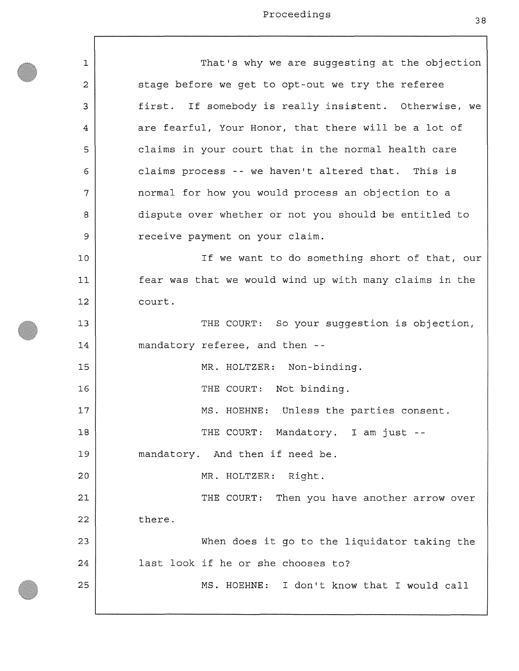$\lceil$ 

| 1  | That's why we are suggesting at the objection          |
|----|--------------------------------------------------------|
| 2  | stage before we get to opt-out we try the referee      |
| 3  | first. If somebody is really insistent. Otherwise, we  |
| 4  | are fearful, Your Honor, that there will be a lot of   |
| 5  | claims in your court that in the normal health care    |
| 6  | claims process -- we haven't altered that. This is     |
| 7  | normal for how you would process an objection to a     |
| 8  | dispute over whether or not you should be entitled to  |
| 9  | receive payment on your claim.                         |
| 10 | If we want to do something short of that, our          |
| 11 | fear was that we would wind up with many claims in the |
| 12 | court.                                                 |
| 13 | THE COURT: So your suggestion is objection,            |
| 14 | mandatory referee, and then --                         |
| 15 | MR. HOLTZER: Non-binding.                              |
| 16 | THE COURT: Not binding.                                |
| 17 | MS. HOEHNE: Unless the parties consent.                |
| 18 | THE COURT: Mandatory. I am just --                     |
| 19 | mandatory. And then if need be.                        |
| 20 | MR. HOLTZER: Right.                                    |
| 21 | THE COURT: Then you have another arrow over            |
| 22 | there.                                                 |
| 23 | When does it go to the liquidator taking the           |
| 24 | last look if he or she chooses to?                     |
| 25 | MS. HOEHNE: I don't know that I would call             |
|    |                                                        |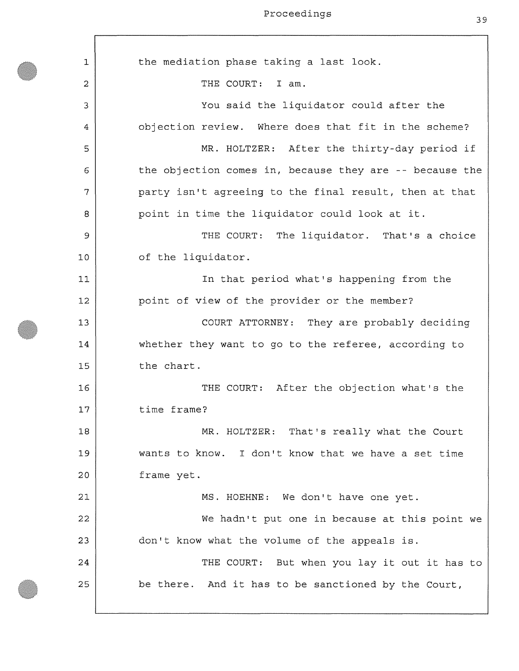1 **2**  3 4 5 6 7 **8**  9 **10**  11 **12**  13 14 15 **16**  17 **18**  19 **20 21 22**  23 24 25 the mediation phase taking a last look. THE COURT: I am. You said the liquidator could after the objection review. Where does that fit in the scheme? MR. HOLTZER: After the thirty-day period if the objection comes in, because they are -- because the party isn't agreeing to the final result, then at that point in time the liquidator could look at it. THE COURT: The liquidator. That's a choice of the liquidator. In that period what's happening from the point of view of the provider or the member? COURT ATTORNEY: They are probably deciding whether they want to go to the referee, according to the chart. THE COURT: After the objection what's the time frame? MR. HOLTZER: That's really what the Court wants to know. I don't know that we have a set time frame yet. MS. HOEHNE: We don't have one yet. We hadn't put one in because at this point we don't know what the volume of the appeals is. THE COURT: But when you lay it out it has to be there. And it has to be sanctioned by the Court,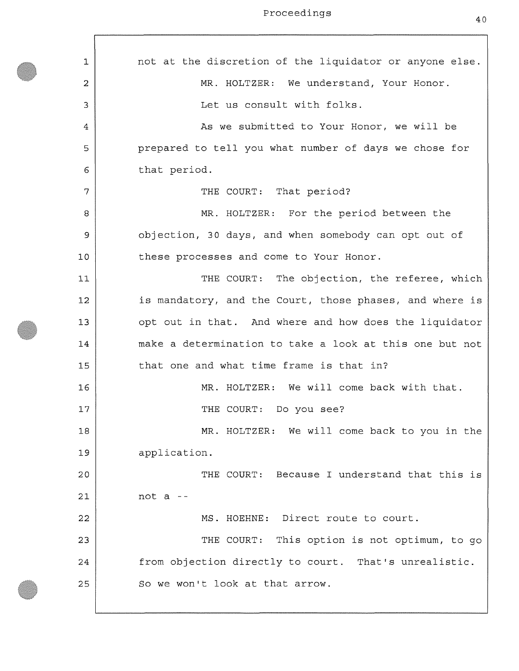$\lceil$ 

| 1  | not at the discretion of the liquidator or anyone else. |
|----|---------------------------------------------------------|
| 2  | MR. HOLTZER: We understand, Your Honor.                 |
| 3  | Let us consult with folks.                              |
| 4  | As we submitted to Your Honor, we will be               |
| 5  | prepared to tell you what number of days we chose for   |
| 6  | that period.                                            |
| 7  | THE COURT: That period?                                 |
| 8  | MR. HOLTZER: For the period between the                 |
| 9  | objection, 30 days, and when somebody can opt out of    |
| 10 | these processes and come to Your Honor.                 |
| 11 | THE COURT: The objection, the referee, which            |
| 12 | is mandatory, and the Court, those phases, and where is |
| 13 | opt out in that. And where and how does the liquidator  |
| 14 | make a determination to take a look at this one but not |
| 15 | that one and what time frame is that in?                |
| 16 | MR. HOLTZER: We will come back with that.               |
| 17 | THE COURT: Do you see?                                  |
| 18 | MR. HOLTZER: We will come back to you in the            |
| 19 | application.                                            |
| 20 | THE COURT: Because I understand that this is            |
| 21 | not $a -$                                               |
| 22 | MS. HOEHNE: Direct route to court.                      |
| 23 | THE COURT: This option is not optimum, to go            |
| 24 | from objection directly to court. That's unrealistic.   |
| 25 | So we won't look at that arrow.                         |
|    |                                                         |

40

ן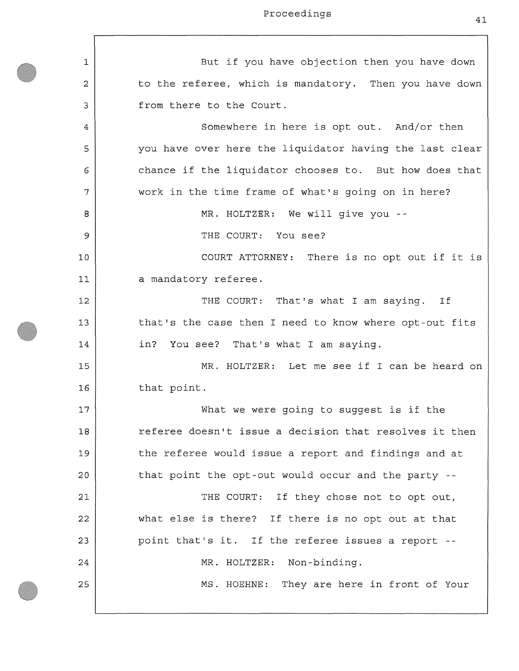| 1  | But if you have objection then you have down            |
|----|---------------------------------------------------------|
| 2  | to the referee, which is mandatory. Then you have down  |
| 3  | from there to the Court.                                |
| 4  | Somewhere in here is opt out. And/or then               |
| 5  | you have over here the liquidator having the last clear |
| 6  | chance if the liquidator chooses to. But how does that  |
| 7  | work in the time frame of what's going on in here?      |
| 8  | MR. HOLTZER: We will give you --                        |
| 9  | THE COURT: You see?                                     |
| 10 | COURT ATTORNEY: There is no opt out if it is            |
| 11 | a mandatory referee.                                    |
| 12 | THE COURT: That's what I am saying. If                  |
| 13 | that's the case then I need to know where opt-out fits  |
| 14 | in? You see? That's what I am saying.                   |
| 15 | MR. HOLTZER: Let me see if I can be heard on            |
| 16 | that point.                                             |
| 17 | What we were going to suggest is if the                 |
| 18 | referee doesn't issue a decision that resolves it then  |
| 19 | the referee would issue a report and findings and at    |
| 20 | that point the opt-out would occur and the party --     |
| 21 | THE COURT: If they chose not to opt out,                |
| 22 | what else is there? If there is no opt out at that      |
| 23 | point that's it. If the referee issues a report --      |
| 24 | MR. HOLTZER: Non-binding.                               |
| 25 | MS. HOEHNE: They are here in front of Your              |
|    |                                                         |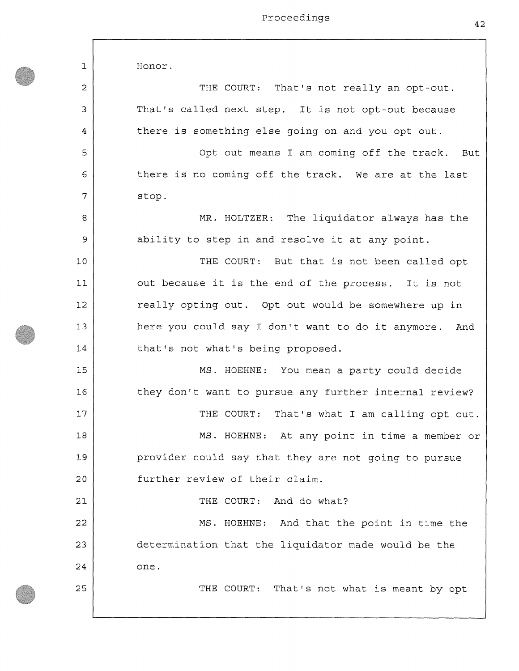**1 2**  3 4 5 6 7 **8**  9 10 11 **12**  13 14 15 **16**  17 **18**  19 **20 21 22**  23 24 25 Honor. THE COURT: That's not really an opt-out. That's called next step. It is not opt-out because there is something else going on and you opt out. Opt out means I am coming off the track. But there is no coming off the track. We are at the last stop. MR. HOLTZER: The liquidator always has the ability to step in and resolve it at any point. THE COURT: But that is not been called opt out because it is the end of the process. It is not really opting out. Opt out would be somewhere up in here you could say I don't want to do it anymore. And that's not what's being proposed. MS. HOEHNE: You mean a party could decide they don't want to pursue any further internal review? THE COURT: That's what I am calling opt out. MS. HOEHNE: At any point in time a member or provider could say that they are not going to pursue further review of their claim. THE COURT: And do what? MS. HOEHNE: And that the point in time the determination that the liquidator made would be the one. THE COURT: That's not what is meant by opt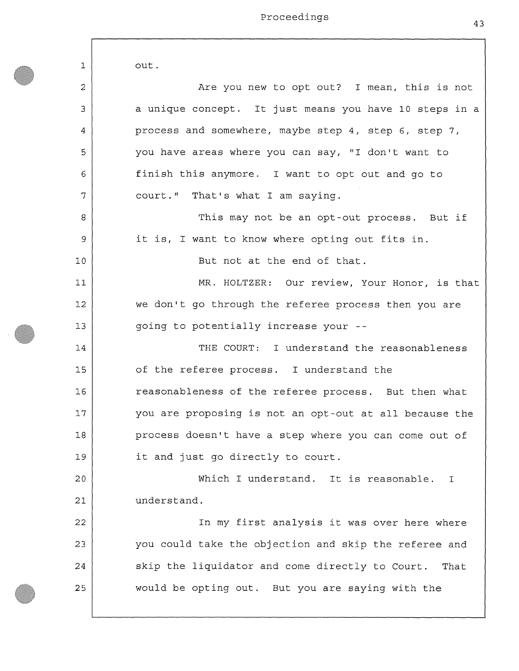| $\mathbf 1$ | out.                                                    |
|-------------|---------------------------------------------------------|
| 2           | Are you new to opt out? I mean, this is not             |
| 3           | a unique concept. It just means you have 10 steps in a  |
| 4           | process and somewhere, maybe step 4, step 6, step 7,    |
| 5           | you have areas where you can say, "I don't want to      |
| 6           | finish this anymore. I want to opt out and go to        |
| 7           | court." That's what I am saying.                        |
| 8           | This may not be an opt-out process. But if              |
| 9           | it is, I want to know where opting out fits in.         |
| 10          | But not at the end of that.                             |
| 11          | MR. HOLTZER: Our review, Your Honor, is that            |
| 12          | we don't go through the referee process then you are    |
| 13          | going to potentially increase your --                   |
| 14          | THE COURT: I understand the reasonableness              |
| 15          | of the referee process. I understand the                |
| 16          | reasonableness of the referee process. But then what    |
| 17          | you are proposing is not an opt-out at all because the  |
| 18          | process doesn't have a step where you can come out of   |
| 19          | it and just go directly to court.                       |
| 20          | Which I understand. It is reasonable.<br>$\mathbf{I}$   |
| 21          | understand.                                             |
| 22          | In my first analysis it was over here where             |
| 23          | you could take the objection and skip the referee and   |
| 24          | skip the liquidator and come directly to Court.<br>That |
| 25          | would be opting out. But you are saying with the        |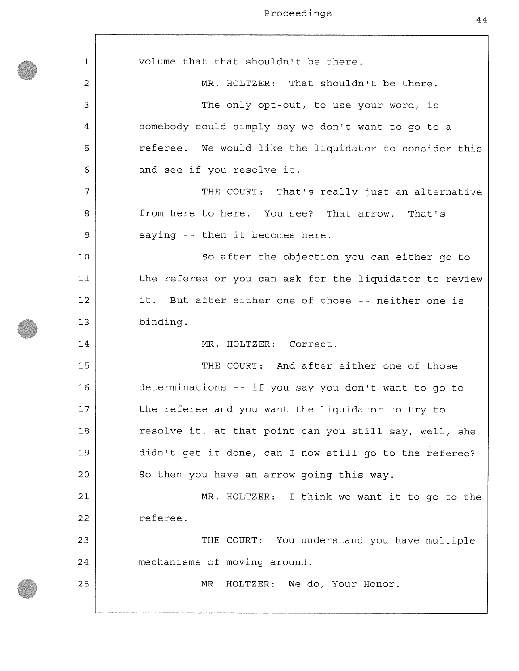| 1  | volume that that shouldn't be there.                    |
|----|---------------------------------------------------------|
|    |                                                         |
| 2  | MR. HOLTZER: That shouldn't be there.                   |
| 3  | The only opt-out, to use your word, is                  |
| 4  | somebody could simply say we don't want to go to a      |
| 5  | referee. We would like the liquidator to consider this  |
| 6  | and see if you resolve it.                              |
| 7  | THE COURT: That's really just an alternative            |
| 8  | from here to here. You see? That arrow. That's          |
| 9  | saying -- then it becomes here.                         |
| 10 | So after the objection you can either go to             |
| 11 | the referee or you can ask for the liquidator to review |
| 12 | it. But after either one of those -- neither one is     |
| 13 | binding.                                                |
| 14 | MR. HOLTZER: Correct.                                   |
| 15 | THE COURT: And after either one of those                |
| 16 | determinations -- if you say you don't want to go to    |
| 17 | the referee and you want the liquidator to try to       |
| 18 | resolve it, at that point can you still say, well, she  |
| 19 | didn't get it done, can I now still go to the referee?  |
| 20 | So then you have an arrow going this way.               |
| 21 | MR. HOLTZER: I think we want it to go to the            |
| 22 | referee.                                                |
| 23 | THE COURT: You understand you have multiple             |
| 24 | mechanisms of moving around.                            |
| 25 | MR. HOLTZER: We do, Your Honor.                         |
|    |                                                         |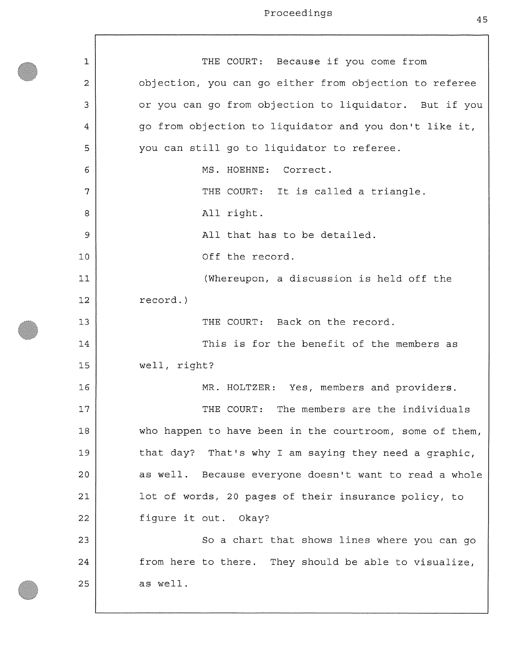**1 2**  3 4 5 6 7 **8**  9 10 11 **12**  13 14 15 **16**  17 **18**  19 20 **21 22**  23 24 25 THE COURT: Because if you come from objection, you can go either from objection to referee or you can go from objection to liquidator. But if you go from objection to liquidator and you don't like it, you can still go to liquidator to referee. MS. HOEHNE: Correct. THE COURT: It is called a triangle. All right. All that has to be detailed. Off the record. (Whereupon, a discussion is held off the record.) THE COURT: Back on the record. This is for the benefit of the members as well, right? MR. HOLTZER: Yes, members and providers. THE COURT: The members are the individuals who happen to have been in the courtroom, some of them, that day? That's why I am saying they need a graphic, as well. Because everyone doesn't want to read a whole lot of words, 20 pages of their insurance policy, to figure it out. Okay? So a chart that shows lines where you can go from here to there. They should be able to visualize, as well.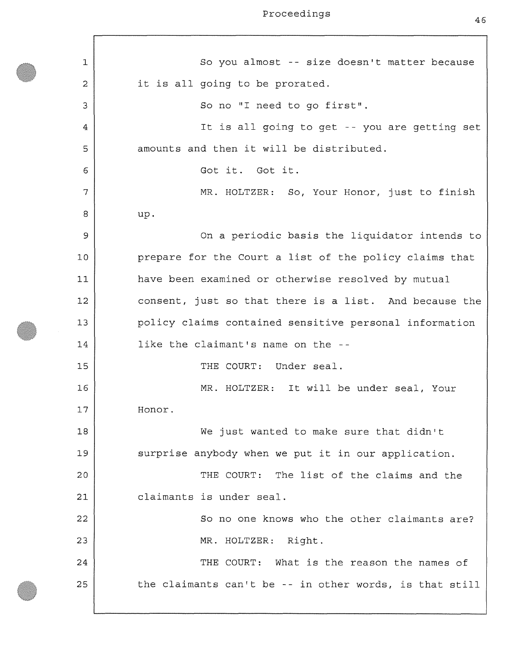| 1  | So you almost -- size doesn't matter because            |
|----|---------------------------------------------------------|
| 2  | it is all going to be prorated.                         |
| 3  | So no "I need to go first".                             |
| 4  | It is all going to get -- you are getting set           |
| 5  | amounts and then it will be distributed.                |
| 6  | Got it. Got it.                                         |
| 7  | MR. HOLTZER: So, Your Honor, just to finish             |
| 8  | up.                                                     |
| 9  | On a periodic basis the liquidator intends to           |
| 10 | prepare for the Court a list of the policy claims that  |
| 11 | have been examined or otherwise resolved by mutual      |
| 12 | consent, just so that there is a list. And because the  |
| 13 | policy claims contained sensitive personal information  |
| 14 | like the claimant's name on the --                      |
| 15 | THE COURT: Under seal.                                  |
| 16 | MR. HOLTZER: It will be under seal, Your                |
| 17 | Honor.                                                  |
| 18 | We just wanted to make sure that didn't                 |
| 19 | surprise anybody when we put it in our application.     |
| 20 | THE COURT: The list of the claims and the               |
| 21 | claimants is under seal.                                |
| 22 | So no one knows who the other claimants are?            |
| 23 | MR. HOLTZER: Right.                                     |
| 24 | THE COURT: What is the reason the names of              |
| 25 | the claimants can't be -- in other words, is that still |
|    |                                                         |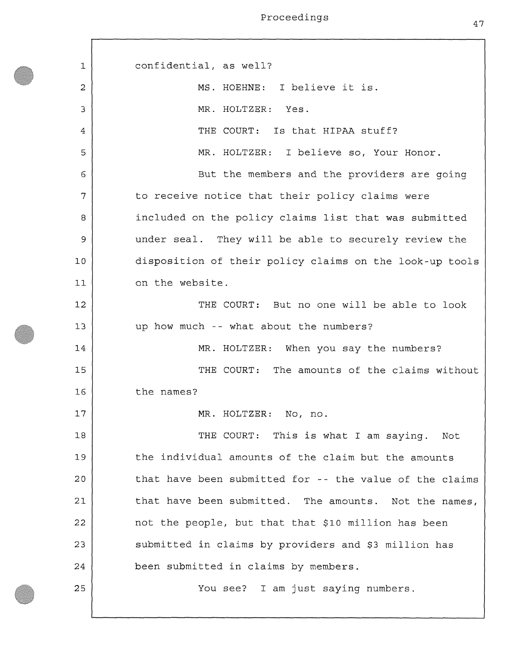1 **2**  3 4 5 6 7 **8**  9 10 11 **12**  13 14 15 **16**  17 **18**  19 **20 21 22**  23 24 25 confidential, as well? MS. HOEHNE: I believe it is. MR. HOLTZER: Yes. THE COURT: Is that HIPAA stuff? MR. HOLTZER: I believe so, Your Honor. But the members and the providers are going to receive notice that their policy claims were included on the policy claims list that was submitted under seal. They will be able to securely review the disposition of their policy claims on the look-up tools on the website. THE COURT: But no one will be able to look up how much -- what about the numbers? MR. HOLTZER: When you say the numbers? THE COURT: The amounts of the claims without the names? MR. HOLTZER: No, no. THE COURT: This is what I am saying. Not the individual amounts of the claim but the amounts that have been submitted for -- the value of the claims that have been submitted. The amounts. Not the names, not the people, but that that \$10 million has been submitted in claims by providers and \$3 million has been submitted in claims by members. You see? I am just saying numbers.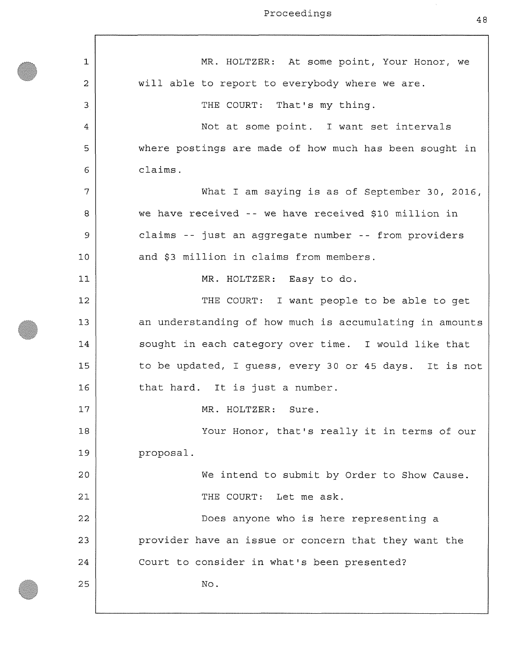$\mathbf{r}$ 

| 1  | MR. HOLTZER: At some point, Your Honor, we              |
|----|---------------------------------------------------------|
| 2  | will able to report to everybody where we are.          |
| 3  | THE COURT: That's my thing.                             |
| 4  | Not at some point. I want set intervals                 |
| 5  | where postings are made of how much has been sought in  |
| 6  | claims.                                                 |
| 7  | What I am saying is as of September 30, 2016,           |
| 8  | we have received -- we have received \$10 million in    |
| 9  | claims -- just an aggregate number -- from providers    |
| 10 | and \$3 million in claims from members.                 |
| 11 | MR. HOLTZER: Easy to do.                                |
| 12 | THE COURT: I want people to be able to get              |
| 13 | an understanding of how much is accumulating in amounts |
| 14 | sought in each category over time. I would like that    |
| 15 | to be updated, I guess, every 30 or 45 days. It is not  |
| 16 | that hard. It is just a number.                         |
| 17 | MR. HOLTZER: Sure.                                      |
| 18 | Your Honor, that's really it in terms of our            |
| 19 | proposal.                                               |
| 20 | We intend to submit by Order to Show Cause.             |
| 21 | THE COURT: Let me ask.                                  |
| 22 | Does anyone who is here representing a                  |
| 23 | provider have an issue or concern that they want the    |
| 24 | Court to consider in what's been presented?             |
| 25 | No.                                                     |
|    |                                                         |

48

h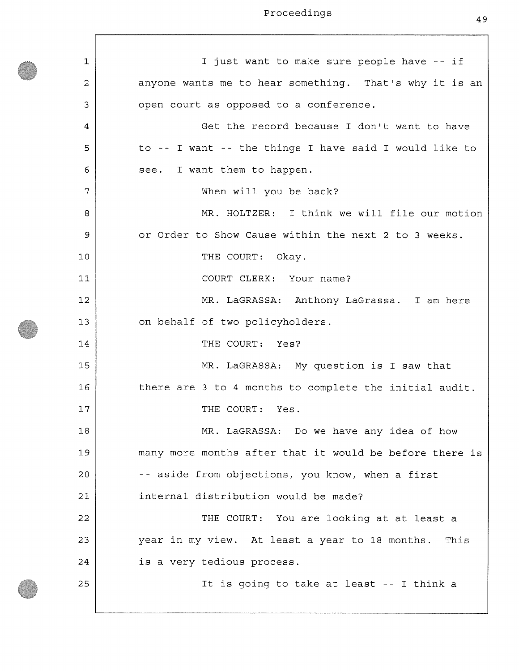| $\mathbf{1}$ | I just want to make sure people have -- if              |
|--------------|---------------------------------------------------------|
| 2            | anyone wants me to hear something. That's why it is an  |
| 3            | open court as opposed to a conference.                  |
| 4            | Get the record because I don't want to have             |
| 5            | to -- I want -- the things I have said I would like to  |
| 6            | I want them to happen.<br>see.                          |
| 7            | When will you be back?                                  |
| 8            | MR. HOLTZER: I think we will file our motion            |
| 9            | or Order to Show Cause within the next 2 to 3 weeks.    |
| 10           | THE COURT: Okay.                                        |
| 11           | COURT CLERK: Your name?                                 |
| 12           | MR. LaGRASSA: Anthony LaGrassa. I am here               |
| 13           | on behalf of two policyholders.                         |
| 14           | THE COURT: Yes?                                         |
| 15           | MR. LaGRASSA: My question is I saw that                 |
| 16           | there are 3 to 4 months to complete the initial audit.  |
| 17           | THE COURT:<br>Yes.                                      |
| 18           | MR. LaGRASSA: Do we have any idea of how                |
| 19           | many more months after that it would be before there is |
| 20           | -- aside from objections, you know, when a first        |
| 21           | internal distribution would be made?                    |
| 22           | THE COURT: You are looking at at least a                |
| 23           | year in my view. At least a year to 18 months. This     |
| 24           | is a very tedious process.                              |
| 25           | It is going to take at least -- I think a               |
|              |                                                         |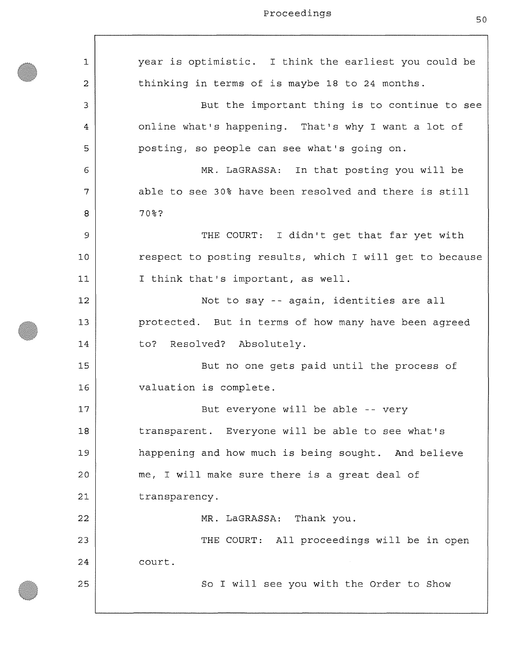**1 2**  3 4 5 6 7 **8**  9 **10**  11 **12**  13 14 15 **16**  17 **18**  19 20 **21 22**  23 24 25 year is optimistic. I think the earliest you could be thinking in terms of is maybe 18 to 24 months. But the important thing is to continue to see online what's happening. That's why I want a lot of posting, so people can see what's going on. MR. LaGRASSA: In that posting you will be able to see 30% have been resolved and there is still 70%? THE COURT: I didn't get that far yet with respect to posting results, which I will get to because I think that's important, as well. Not to say -- again, identities are all protected. But in terms of how many have been agreed to? Resolved? Absolutely. But no one gets paid until the process of valuation is complete. But everyone will be able -- very transparent. Everyone will be able to see what's happening and how much is being sought. And believe me, I will make sure there is a great deal of transparency. MR. LaGRASSA: Thank you. THE COURT: All proceedings will be in open court. So I will see you with the Order to Show